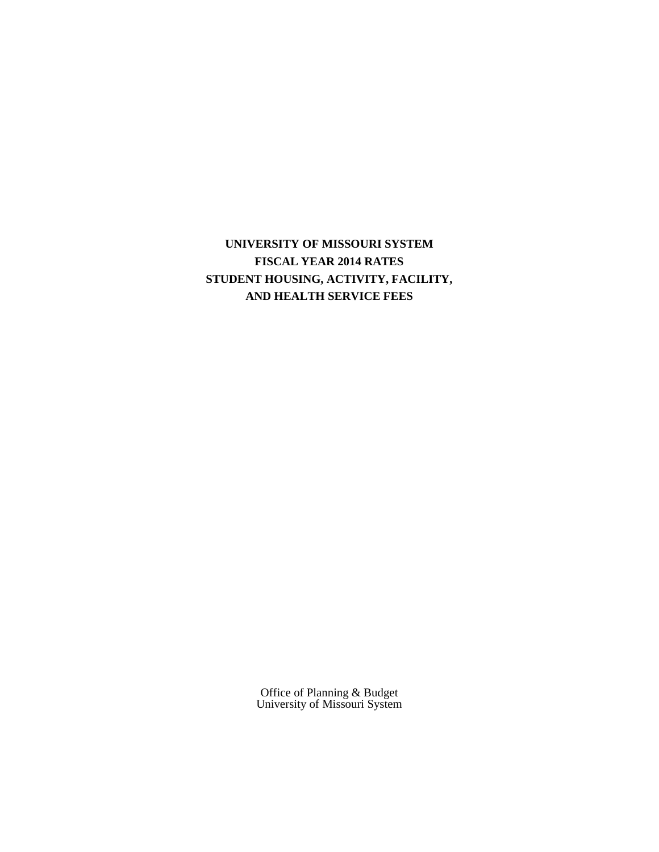**UNIVERSITY OF MISSOURI SYSTEM FISCAL YEAR 2014 RATES STUDENT HOUSING, ACTIVITY, FACILITY, AND HEALTH SERVICE FEES**

> Office of Planning & Budget University of Missouri System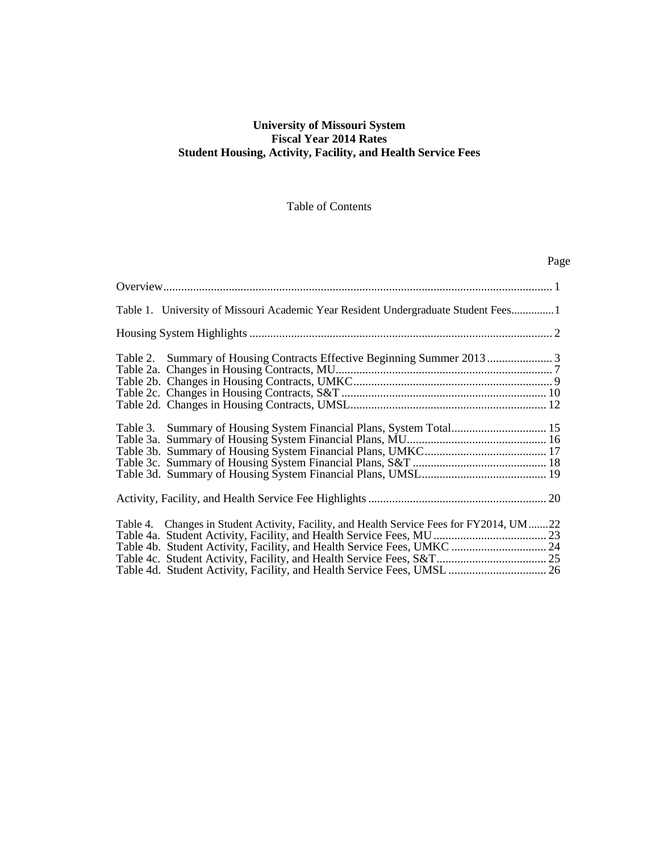# **University of Missouri System Fiscal Year 2014 Rates Student Housing, Activity, Facility, and Health Service Fees**

## Table of Contents

| Page                                                                                                                                                                                                                                           |  |
|------------------------------------------------------------------------------------------------------------------------------------------------------------------------------------------------------------------------------------------------|--|
|                                                                                                                                                                                                                                                |  |
| Table 1. University of Missouri Academic Year Resident Undergraduate Student Fees1                                                                                                                                                             |  |
|                                                                                                                                                                                                                                                |  |
|                                                                                                                                                                                                                                                |  |
| Table 3. Summary of Housing System Financial Plans, System Total 15                                                                                                                                                                            |  |
|                                                                                                                                                                                                                                                |  |
| Table 4. Changes in Student Activity, Facility, and Health Service Fees for FY2014, UM22<br>Table 4b. Student Activity, Facility, and Health Service Fees, UMKC  24<br>Table 4d. Student Activity, Facility, and Health Service Fees, UMSL  26 |  |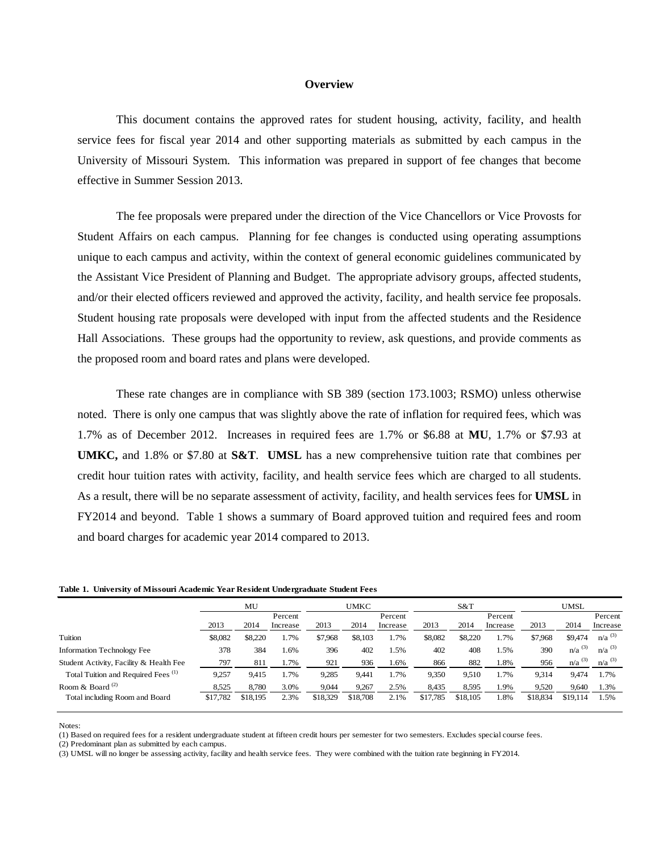#### **Overview**

This document contains the approved rates for student housing, activity, facility, and health service fees for fiscal year 2014 and other supporting materials as submitted by each campus in the University of Missouri System. This information was prepared in support of fee changes that become effective in Summer Session 2013.

The fee proposals were prepared under the direction of the Vice Chancellors or Vice Provosts for Student Affairs on each campus. Planning for fee changes is conducted using operating assumptions unique to each campus and activity, within the context of general economic guidelines communicated by the Assistant Vice President of Planning and Budget. The appropriate advisory groups, affected students, and/or their elected officers reviewed and approved the activity, facility, and health service fee proposals. Student housing rate proposals were developed with input from the affected students and the Residence Hall Associations. These groups had the opportunity to review, ask questions, and provide comments as the proposed room and board rates and plans were developed.

These rate changes are in compliance with SB 389 (section 173.1003; RSMO) unless otherwise noted. There is only one campus that was slightly above the rate of inflation for required fees, which was 1.7% as of December 2012. Increases in required fees are 1.7% or \$6.88 at **MU**, 1.7% or \$7.93 at **UMKC,** and 1.8% or \$7.80 at **S&T**. **UMSL** has a new comprehensive tuition rate that combines per credit hour tuition rates with activity, facility, and health service fees which are charged to all students. As a result, there will be no separate assessment of activity, facility, and health services fees for **UMSL** in FY2014 and beyond. Table 1 shows a summary of Board approved tuition and required fees and room and board charges for academic year 2014 compared to 2013.

|  |  | Table 1. University of Missouri Academic Year Resident Undergraduate Student Fees |  |  |  |
|--|--|-----------------------------------------------------------------------------------|--|--|--|
|--|--|-----------------------------------------------------------------------------------|--|--|--|

|                                                | MU       |          |                     | UMKC     |          |                     | S&T      |          | <b>UMSL</b>         |          |                      |                      |
|------------------------------------------------|----------|----------|---------------------|----------|----------|---------------------|----------|----------|---------------------|----------|----------------------|----------------------|
|                                                | 2013     | 2014     | Percent<br>Increase | 2013     | 2014     | Percent<br>Increase | 2013     | 2014     | Percent<br>Increase | 2013     | 2014                 | Percent<br>Increase  |
| Tuition                                        | \$8,082  | \$8,220  | 1.7%                | \$7,968  | \$8,103  | 1.7%                | \$8,082  | \$8,220  | 1.7%                | \$7,968  | \$9,474              | $n/a^{(3)}$          |
| <b>Information Technology Fee</b>              | 378      | 384      | 1.6%                | 396      | 402      | .5%                 | 402      | 408      | l.5%                | 390      | $n/a$ <sup>(3)</sup> | $n/a$ <sup>(3)</sup> |
| Student Activity, Facility & Health Fee        | 797      | 811      | 1.7%                | 921      | 936      | 1.6%                | 866      | 882      | 1.8%                | 956      | $n/a$ <sup>(3)</sup> | $n/a$ <sup>(3)</sup> |
| Total Tuition and Required Fees <sup>(1)</sup> | 9,257    | 9,415    | 1.7%                | 9,285    | 9,441    | 1.7%                | 9,350    | 9,510    | 1.7%                | 9,314    | 9,474                | 1.7%                 |
| Room & Board $(2)$                             | 8,525    | 8,780    | 3.0%                | 9.044    | 9,267    | 2.5%                | 8,435    | 8.595    | 1.9%                | 9,520    | 9.640                | 1.3%                 |
| Total including Room and Board                 | \$17,782 | \$18,195 | 2.3%                | \$18,329 | \$18,708 | 2.1%                | \$17,785 | \$18,105 | 1.8%                | \$18,834 | \$19,114             | 1.5%                 |

Notes:

(1) Based on required fees for a resident undergraduate student at fifteen credit hours per semester for two semesters. Excludes special course fees.

(2) Predominant plan as submitted by each campus.

(3) UMSL will no longer be assessing activity, facility and health service fees. They were combined with the tuition rate beginning in FY2014.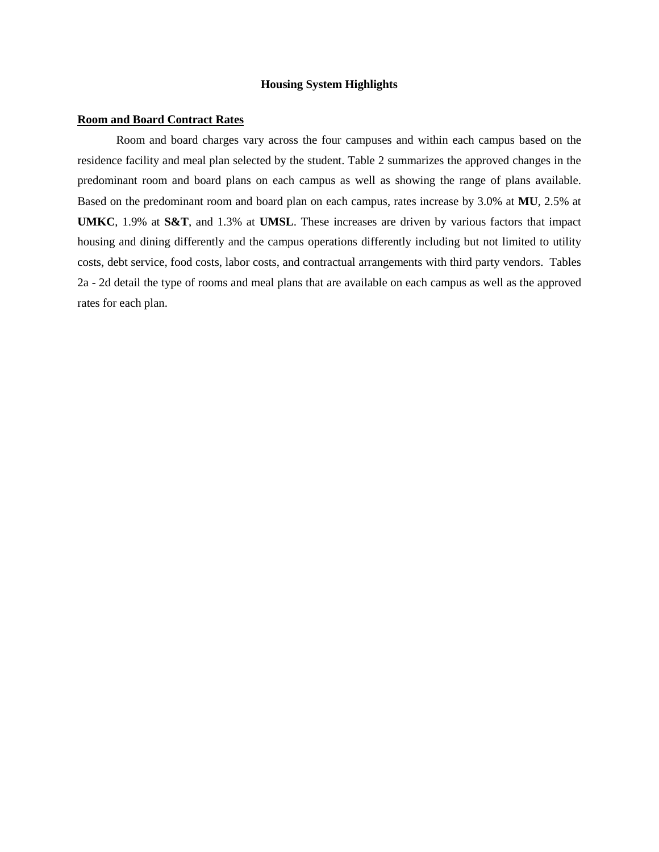## **Housing System Highlights**

## **Room and Board Contract Rates**

Room and board charges vary across the four campuses and within each campus based on the residence facility and meal plan selected by the student. Table 2 summarizes the approved changes in the predominant room and board plans on each campus as well as showing the range of plans available. Based on the predominant room and board plan on each campus, rates increase by 3.0% at **MU**, 2.5% at **UMKC**, 1.9% at **S&T**, and 1.3% at **UMSL**. These increases are driven by various factors that impact housing and dining differently and the campus operations differently including but not limited to utility costs, debt service, food costs, labor costs, and contractual arrangements with third party vendors. Tables 2a - 2d detail the type of rooms and meal plans that are available on each campus as well as the approved rates for each plan.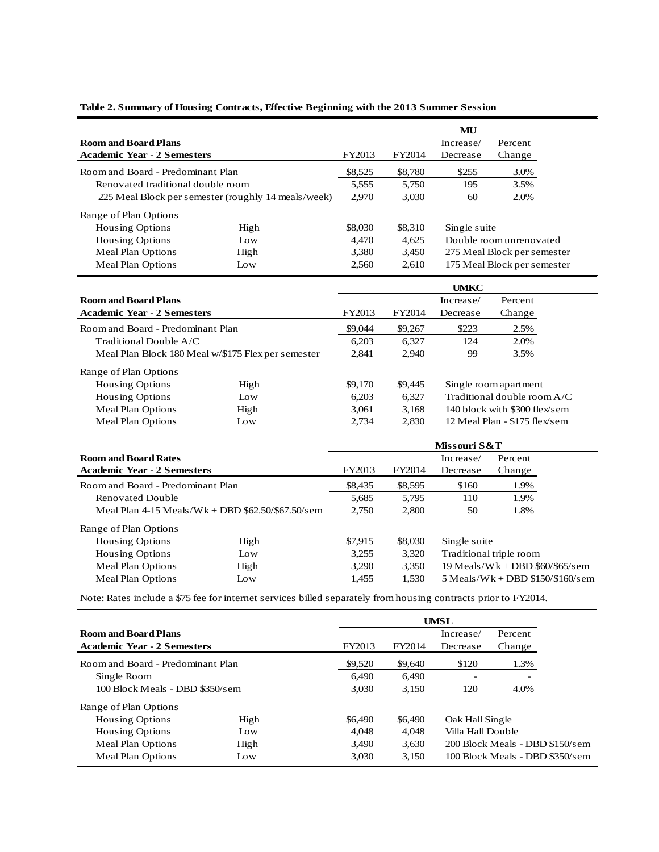| <b>Room and Board Plans</b><br><b>Academic Year - 2 Semesters</b> |      |         |         | Increase/                   | Percent                     |  |  |
|-------------------------------------------------------------------|------|---------|---------|-----------------------------|-----------------------------|--|--|
|                                                                   |      | FY2013  | FY2014  | Decrease                    | Change                      |  |  |
| Room and Board - Predominant Plan                                 |      | \$8,525 | \$8,780 | \$255                       | 3.0%                        |  |  |
| Renovated traditional double room                                 |      | 5,555   | 5.750   | 195                         | 3.5%                        |  |  |
| 225 Meal Block per semester (roughly 14 meals/week)               |      | 2.970   | 3,030   | 60                          | 2.0%                        |  |  |
| Range of Plan Options                                             |      |         |         |                             |                             |  |  |
| <b>Housing Options</b>                                            | High | \$8,030 | \$8,310 | Single suite                |                             |  |  |
| <b>Housing Options</b>                                            | Low  | 4.470   | 4.625   |                             | Double room unrenovated     |  |  |
| Meal Plan Options                                                 | High | 3,380   | 3,450   |                             | 275 Meal Block per semester |  |  |
| Meal Plan Options                                                 | Low  | 2.560   | 2.610   | 175 Meal Block per semester |                             |  |  |

# **UMKC Room and Board Plans Increase Increase Increase Percent** Academic Year - 2 Semesters FY2013 FY2014 Decrease Change Room and Board - Predominant Plan \$9,044 \$9,044 \$9,267 \$223 2.5% Traditional Double A/C 6,203 6,327 124 2.0% Meal Plan Block 180 Meal w/\$175 Flex per semester 2,841 2,940 99 3.5% Range of Plan Options Housing Options High \$9,170 \$9,445 Single room apartment Housing Options Low 6,203 6,327 Traditional double room A/C Meal Plan Options High 3,061 3,168 140 block with \$300 flex/sem Meal Plan Options Low 2,734 2,830 12 Meal Plan - \$175 flex/sem

|                                                     |      | Missouri S&T |         |                                   |                                    |  |
|-----------------------------------------------------|------|--------------|---------|-----------------------------------|------------------------------------|--|
| <b>Room and Board Rates</b>                         |      |              |         | Increase/                         | Percent                            |  |
| <b>Academic Year - 2 Semesters</b>                  |      | FY2013       | FY2014  | Decrease                          | Change                             |  |
| Room and Board - Predominant Plan                   |      | \$8,435      | \$8,595 | \$160                             | 1.9%                               |  |
| Renovated Double                                    |      | 5,685        | 5,795   | 110                               | 1.9%                               |  |
| Meal Plan $4-15$ Meals/Wk + DBD \$62.50/\$67.50/sem |      | 2.750        | 2,800   | 50                                | 1.8%                               |  |
| Range of Plan Options                               |      |              |         |                                   |                                    |  |
| <b>Housing Options</b>                              | High | \$7,915      | \$8,030 | Single suite                      |                                    |  |
| <b>Housing Options</b>                              | Low  | 3,255        | 3,320   | Traditional triple room           |                                    |  |
| Meal Plan Options                                   | High | 3.290        | 3,350   | $19$ Meals/Wk + DBD \$60/\$65/sem |                                    |  |
| Meal Plan Options                                   | Low  | 1,455        | 1,530   |                                   | $5$ Meals/Wk + DBD \$150/\$160/sem |  |

Note: Rates include a \$75 fee for internet services billed separately from housing contracts prior to FY2014.

|                                    | UMSL             |         |         |                   |                                 |
|------------------------------------|------------------|---------|---------|-------------------|---------------------------------|
| <b>Room and Board Plans</b>        |                  |         |         | Increase/         | Percent                         |
| <b>Academic Year - 2 Semesters</b> | FY2013<br>FY2014 |         |         | Decrease          | Change                          |
| Room and Board - Predominant Plan  |                  | \$9,520 | \$9,640 | \$120             | 1.3%                            |
| Single Room                        |                  | 6.490   | 6,490   |                   | $\overline{\phantom{0}}$        |
| 100 Block Meals - DBD \$350/sem    |                  | 3.030   | 3.150   | 120               | 4.0%                            |
| Range of Plan Options              |                  |         |         |                   |                                 |
| <b>Housing Options</b>             | High             | \$6,490 | \$6,490 | Oak Hall Single   |                                 |
| Housing Options                    | $I_{\Omega}$     | 4.048   | 4.048   | Villa Hall Double |                                 |
| Meal Plan Options                  | High             | 3.490   | 3.630   |                   | 200 Block Meals - DBD \$150/sem |
| Meal Plan Options                  | Low              | 3,030   | 3.150   |                   | 100 Block Meals - DBD \$350/sem |

## **Table 2. Summary of Housing Contracts, Effective Beginning with the 2013 Summer Session**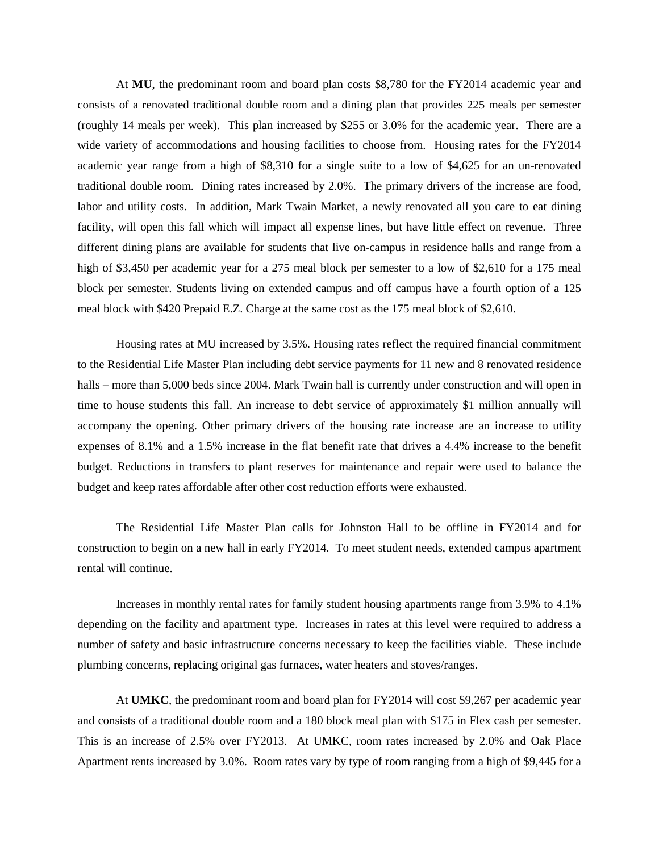At **MU**, the predominant room and board plan costs \$8,780 for the FY2014 academic year and consists of a renovated traditional double room and a dining plan that provides 225 meals per semester (roughly 14 meals per week). This plan increased by \$255 or 3.0% for the academic year. There are a wide variety of accommodations and housing facilities to choose from. Housing rates for the FY2014 academic year range from a high of \$8,310 for a single suite to a low of \$4,625 for an un-renovated traditional double room. Dining rates increased by 2.0%. The primary drivers of the increase are food, labor and utility costs. In addition, Mark Twain Market, a newly renovated all you care to eat dining facility, will open this fall which will impact all expense lines, but have little effect on revenue. Three different dining plans are available for students that live on-campus in residence halls and range from a high of \$3,450 per academic year for a 275 meal block per semester to a low of \$2,610 for a 175 meal block per semester. Students living on extended campus and off campus have a fourth option of a 125 meal block with \$420 Prepaid E.Z. Charge at the same cost as the 175 meal block of \$2,610.

Housing rates at MU increased by 3.5%. Housing rates reflect the required financial commitment to the Residential Life Master Plan including debt service payments for 11 new and 8 renovated residence halls – more than 5,000 beds since 2004. Mark Twain hall is currently under construction and will open in time to house students this fall. An increase to debt service of approximately \$1 million annually will accompany the opening. Other primary drivers of the housing rate increase are an increase to utility expenses of 8.1% and a 1.5% increase in the flat benefit rate that drives a 4.4% increase to the benefit budget. Reductions in transfers to plant reserves for maintenance and repair were used to balance the budget and keep rates affordable after other cost reduction efforts were exhausted.

The Residential Life Master Plan calls for Johnston Hall to be offline in FY2014 and for construction to begin on a new hall in early FY2014. To meet student needs, extended campus apartment rental will continue.

Increases in monthly rental rates for family student housing apartments range from 3.9% to 4.1% depending on the facility and apartment type. Increases in rates at this level were required to address a number of safety and basic infrastructure concerns necessary to keep the facilities viable. These include plumbing concerns, replacing original gas furnaces, water heaters and stoves/ranges.

At **UMKC**, the predominant room and board plan for FY2014 will cost \$9,267 per academic year and consists of a traditional double room and a 180 block meal plan with \$175 in Flex cash per semester. This is an increase of 2.5% over FY2013. At UMKC, room rates increased by 2.0% and Oak Place Apartment rents increased by 3.0%. Room rates vary by type of room ranging from a high of \$9,445 for a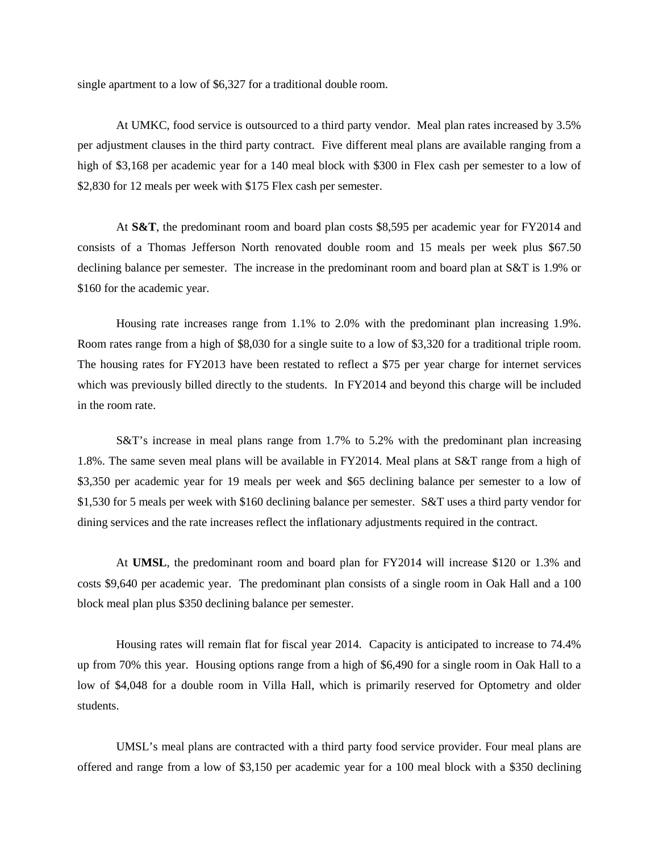single apartment to a low of \$6,327 for a traditional double room.

At UMKC, food service is outsourced to a third party vendor. Meal plan rates increased by 3.5% per adjustment clauses in the third party contract. Five different meal plans are available ranging from a high of \$3,168 per academic year for a 140 meal block with \$300 in Flex cash per semester to a low of \$2,830 for 12 meals per week with \$175 Flex cash per semester.

At **S&T**, the predominant room and board plan costs \$8,595 per academic year for FY2014 and consists of a Thomas Jefferson North renovated double room and 15 meals per week plus \$67.50 declining balance per semester. The increase in the predominant room and board plan at S&T is 1.9% or \$160 for the academic year.

Housing rate increases range from 1.1% to 2.0% with the predominant plan increasing 1.9%. Room rates range from a high of \$8,030 for a single suite to a low of \$3,320 for a traditional triple room. The housing rates for FY2013 have been restated to reflect a \$75 per year charge for internet services which was previously billed directly to the students. In FY2014 and beyond this charge will be included in the room rate.

S&T's increase in meal plans range from 1.7% to 5.2% with the predominant plan increasing 1.8%. The same seven meal plans will be available in FY2014. Meal plans at S&T range from a high of \$3,350 per academic year for 19 meals per week and \$65 declining balance per semester to a low of \$1,530 for 5 meals per week with \$160 declining balance per semester. S&T uses a third party vendor for dining services and the rate increases reflect the inflationary adjustments required in the contract.

At **UMSL**, the predominant room and board plan for FY2014 will increase \$120 or 1.3% and costs \$9,640 per academic year. The predominant plan consists of a single room in Oak Hall and a 100 block meal plan plus \$350 declining balance per semester.

Housing rates will remain flat for fiscal year 2014. Capacity is anticipated to increase to 74.4% up from 70% this year. Housing options range from a high of \$6,490 for a single room in Oak Hall to a low of \$4,048 for a double room in Villa Hall, which is primarily reserved for Optometry and older students.

UMSL's meal plans are contracted with a third party food service provider. Four meal plans are offered and range from a low of \$3,150 per academic year for a 100 meal block with a \$350 declining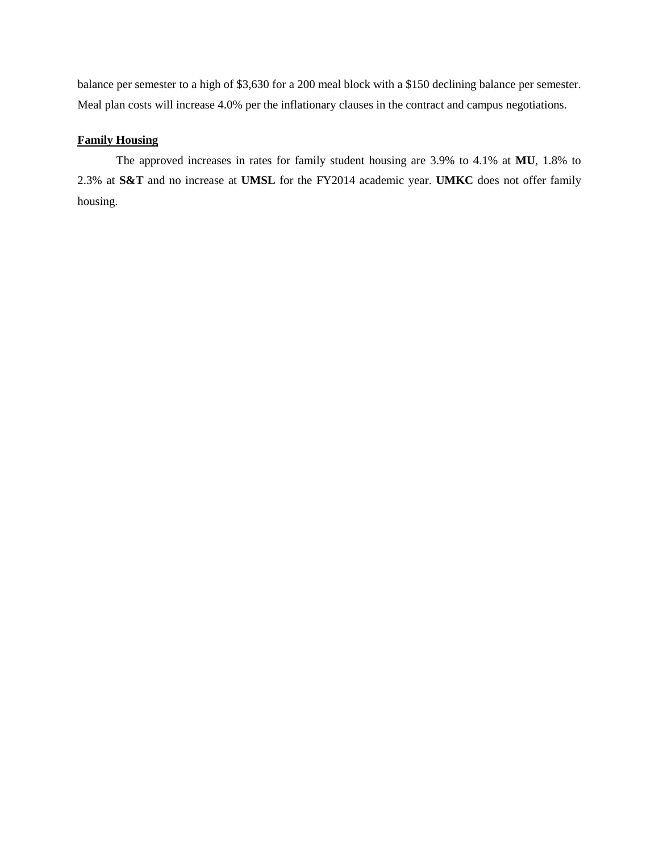balance per semester to a high of \$3,630 for a 200 meal block with a \$150 declining balance per semester. Meal plan costs will increase 4.0% per the inflationary clauses in the contract and campus negotiations.

## **Family Housing**

The approved increases in rates for family student housing are 3.9% to 4.1% at **MU**, 1.8% to 2.3% at **S&T** and no increase at **UMSL** for the FY2014 academic year. **UMKC** does not offer family housing.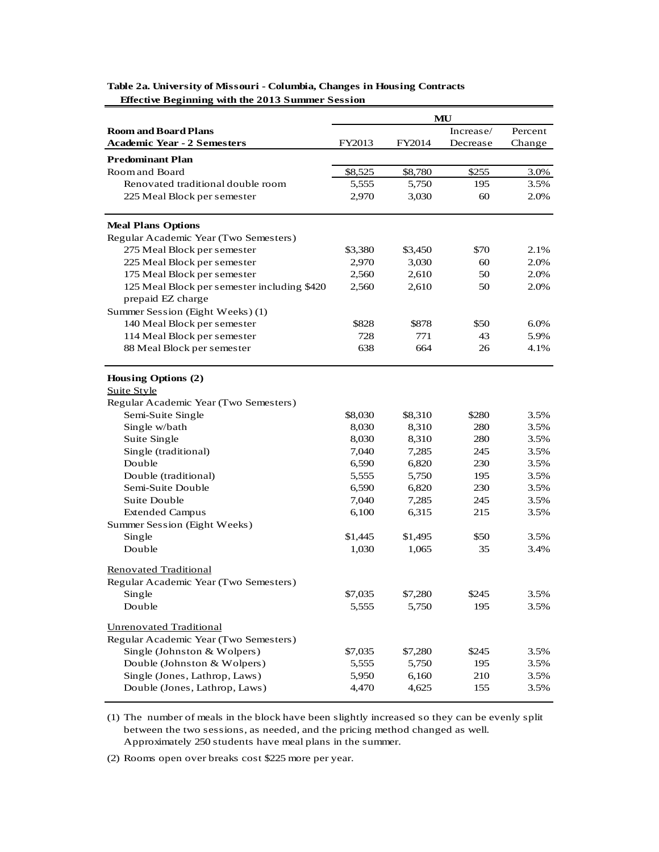|                                             | MU      |         |           |         |
|---------------------------------------------|---------|---------|-----------|---------|
| <b>Room and Board Plans</b>                 |         |         | Increase/ | Percent |
| <b>Academic Year - 2 Semesters</b>          | FY2013  | FY2014  | Decrease  | Change  |
| <b>Predominant Plan</b>                     |         |         |           |         |
| Room and Board                              | \$8,525 | \$8,780 | \$255     | 3.0%    |
| Renovated traditional double room           | 5,555   | 5,750   | 195       | 3.5%    |
| 225 Meal Block per semester                 | 2,970   | 3,030   | 60        | 2.0%    |
|                                             |         |         |           |         |
| <b>Meal Plans Options</b>                   |         |         |           |         |
| Regular Academic Year (Two Semesters)       |         |         |           |         |
| 275 Meal Block per semester                 | \$3,380 | \$3,450 | \$70      | 2.1%    |
| 225 Meal Block per semester                 | 2,970   | 3,030   | 60        | 2.0%    |
| 175 Meal Block per semester                 | 2,560   | 2,610   | 50        | 2.0%    |
| 125 Meal Block per semester including \$420 | 2,560   | 2,610   | 50        | 2.0%    |
| prepaid EZ charge                           |         |         |           |         |
| Summer Session (Eight Weeks) (1)            |         |         |           |         |
| 140 Meal Block per semester                 | \$828   | \$878   | \$50      | $6.0\%$ |
| 114 Meal Block per semester                 | 728     | 771     | 43        | 5.9%    |
| 88 Meal Block per semester                  | 638     | 664     | 26        | 4.1%    |
|                                             |         |         |           |         |
| Housing Options (2)                         |         |         |           |         |
| <b>Suite Style</b>                          |         |         |           |         |
| Regular Academic Year (Two Semesters)       |         |         |           |         |
| Semi-Suite Single                           | \$8,030 | \$8,310 | \$280     | 3.5%    |
| Single w/bath                               | 8,030   | 8,310   | 280       | 3.5%    |
| Suite Single                                | 8,030   | 8,310   | 280       | 3.5%    |
| Single (traditional)                        | 7,040   | 7,285   | 245       | 3.5%    |
| Double                                      | 6,590   | 6,820   | 230       | 3.5%    |
| Double (traditional)                        | 5,555   | 5,750   | 195       | 3.5%    |
| Semi-Suite Double                           | 6,590   | 6,820   | 230       | 3.5%    |
| Suite Double                                | 7,040   | 7,285   | 245       | 3.5%    |
| <b>Extended Campus</b>                      | 6,100   | 6,315   | 215       | 3.5%    |
| Summer Session (Eight Weeks)                |         |         |           |         |
| Single                                      | \$1,445 | \$1,495 | \$50      | 3.5%    |
| Double                                      | 1,030   | 1,065   | 35        | 3.4%    |
| <b>Renovated Traditional</b>                |         |         |           |         |
| Regular Academic Year (Two Semesters)       |         |         |           |         |
| Single                                      | \$7,035 | \$7,280 | \$245     | 3.5%    |
| Double                                      | 5,555   | 5,750   | 195       | 3.5%    |
|                                             |         |         |           |         |
| <b>Unrenovated Traditional</b>              |         |         |           |         |
| Regular Academic Year (Two Semesters)       |         |         |           |         |
| Single (Johnston & Wolpers)                 | \$7,035 | \$7,280 | \$245     | 3.5%    |
| Double (Johnston & Wolpers)                 | 5,555   | 5,750   | 195       | 3.5%    |
| Single (Jones, Lathrop, Laws)               | 5,950   | 6,160   | 210       | 3.5%    |
| Double (Jones, Lathrop, Laws)               | 4,470   | 4,625   | 155       | 3.5%    |

**Table 2a. University of Missouri - Columbia, Changes in Housing Contracts Effective Beginning with the 2013 Summer Session**

(1) The number of meals in the block have been slightly increased so they can be evenly split between the two sessions, as needed, and the pricing method changed as well. Approximately 250 students have meal plans in the summer.

(2) Rooms open over breaks cost \$225 more per year.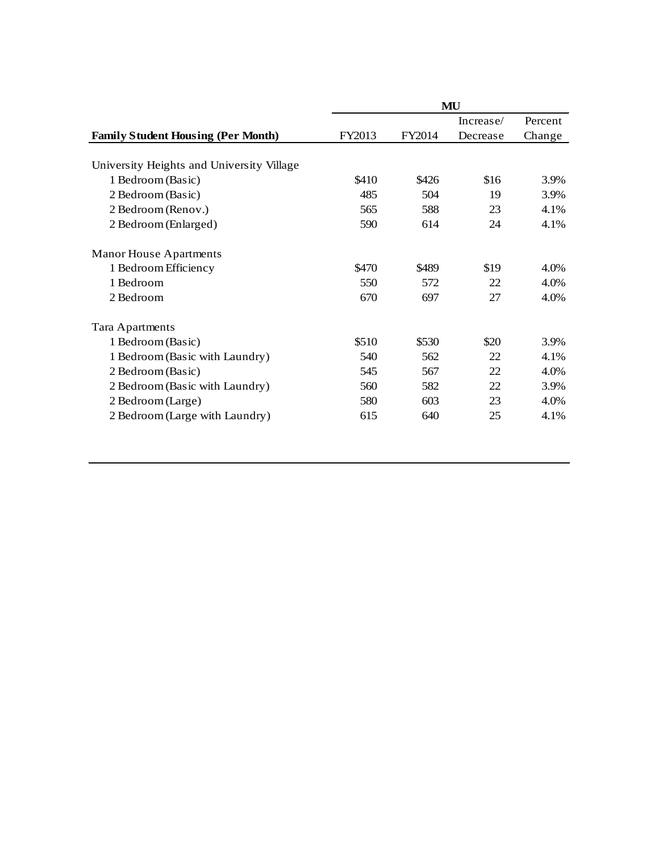|                                           | MU     |        |           |         |  |  |  |
|-------------------------------------------|--------|--------|-----------|---------|--|--|--|
|                                           |        |        | Increase/ | Percent |  |  |  |
| <b>Family Student Housing (Per Month)</b> | FY2013 | FY2014 | Decrease  | Change  |  |  |  |
|                                           |        |        |           |         |  |  |  |
| University Heights and University Village |        |        |           |         |  |  |  |
| 1 Bedroom (Basic)                         | \$410  | \$426  | \$16      | 3.9%    |  |  |  |
| 2 Bedroom (Basic)                         | 485    | 504    | 19        | 3.9%    |  |  |  |
| 2 Bedroom (Renov.)                        | 565    | 588    | 23        | 4.1%    |  |  |  |
| 2 Bedroom (Enlarged)                      | 590    | 614    | 24        | 4.1%    |  |  |  |
| <b>Manor House Apartments</b>             |        |        |           |         |  |  |  |
| 1 Bedroom Efficiency                      | \$470  | \$489  | \$19      | 4.0%    |  |  |  |
| 1 Bedroom                                 | 550    | 572    | 22        | $4.0\%$ |  |  |  |
| 2 Bedroom                                 | 670    | 697    | 27        | 4.0%    |  |  |  |
| Tara Apartments                           |        |        |           |         |  |  |  |
| 1 Bedroom (Basic)                         | \$510  | \$530  | \$20      | 3.9%    |  |  |  |
| 1 Bedroom (Basic with Laundry)            | 540    | 562    | 22        | 4.1%    |  |  |  |
| 2 Bedroom (Basic)                         | 545    | 567    | 22        | 4.0%    |  |  |  |
| 2 Bedroom (Basic with Laundry)            | 560    | 582    | 22        | 3.9%    |  |  |  |
| 2 Bedroom (Large)                         | 580    | 603    | 23        | 4.0%    |  |  |  |
| 2 Bedroom (Large with Laundry)            | 615    | 640    | 25        | 4.1%    |  |  |  |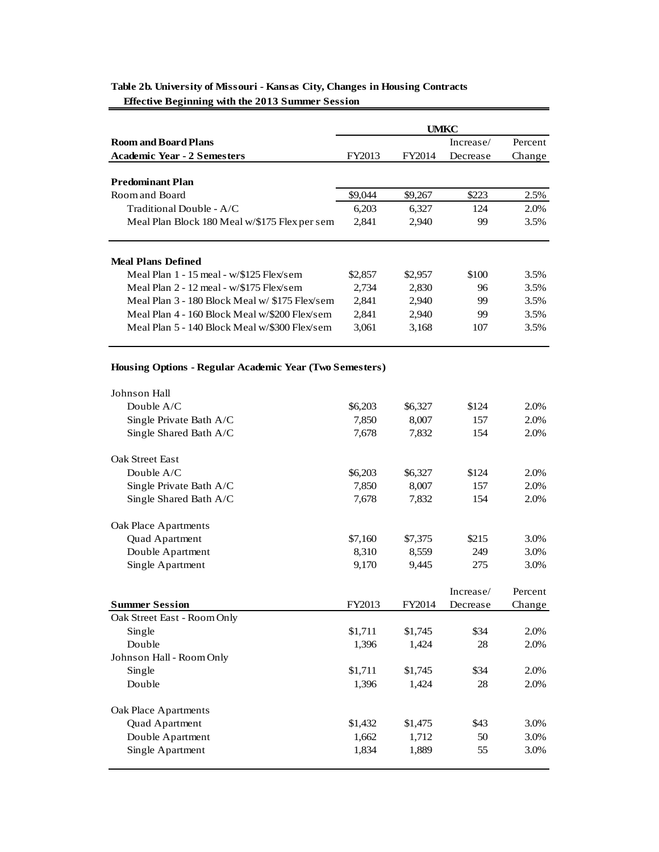|                                                         | <b>UMKC</b> |         |           |         |  |  |
|---------------------------------------------------------|-------------|---------|-----------|---------|--|--|
| <b>Room and Board Plans</b>                             |             |         | Increase/ | Percent |  |  |
| <b>Academic Year - 2 Semesters</b>                      | FY2013      | FY2014  | Decrease  | Change  |  |  |
|                                                         |             |         |           |         |  |  |
| <b>Predominant Plan</b>                                 |             |         |           |         |  |  |
| Room and Board                                          | \$9,044     | \$9,267 | \$223     | 2.5%    |  |  |
| Traditional Double - A/C                                | 6,203       | 6,327   | 124       | 2.0%    |  |  |
| Meal Plan Block 180 Meal w/\$175 Flex per sem           | 2,841       | 2,940   | 99        | 3.5%    |  |  |
|                                                         |             |         |           |         |  |  |
| <b>Meal Plans Defined</b>                               |             |         |           |         |  |  |
| Meal Plan 1 - 15 meal - w/\$125 Flex/sem                | \$2,857     | \$2,957 | \$100     | 3.5%    |  |  |
| Meal Plan 2 - 12 meal - w/\$175 Flex/sem                | 2,734       | 2,830   | 96        | 3.5%    |  |  |
| Meal Plan 3 - 180 Block Meal w/ \$175 Flex/sem          | 2,841       | 2,940   | 99        | 3.5%    |  |  |
| Meal Plan 4 - 160 Block Meal w/\$200 Flex/sem           | 2,841       | 2,940   | 99        | 3.5%    |  |  |
| Meal Plan 5 - 140 Block Meal w/\$300 Flex/sem           | 3,061       | 3,168   | 107       | 3.5%    |  |  |
| Housing Options - Regular Academic Year (Two Semesters) |             |         |           |         |  |  |
| Johnson Hall                                            |             |         |           |         |  |  |
| Double A/C                                              | \$6,203     | \$6,327 | \$124     | 2.0%    |  |  |
| Single Private Bath A/C                                 | 7,850       | 8,007   | 157       | 2.0%    |  |  |
| Single Shared Bath A/C                                  | 7,678       | 7,832   | 154       | 2.0%    |  |  |
| <b>Oak Street East</b>                                  |             |         |           |         |  |  |
| Double A/C                                              | \$6,203     | \$6,327 | \$124     | 2.0%    |  |  |
| Single Private Bath A/C                                 | 7,850       | 8,007   | 157       | 2.0%    |  |  |
| Single Shared Bath A/C                                  | 7,678       | 7,832   | 154       | 2.0%    |  |  |
| Oak Place Apartments                                    |             |         |           |         |  |  |
| Quad Apartment                                          | \$7,160     | \$7,375 | \$215     | 3.0%    |  |  |
| Double Apartment                                        | 8,310       | 8,559   | 249       | 3.0%    |  |  |
| Single Apartment                                        | 9.170       | 9,445   | 275       | 3.0%    |  |  |
|                                                         |             |         |           |         |  |  |
|                                                         |             |         | Increase/ | Percent |  |  |
| <b>Summer Session</b>                                   | FY2013      | FY2014  | Decrease  | Change  |  |  |
| Oak Street East - Room Only                             |             |         |           |         |  |  |
| Single                                                  | \$1,711     | \$1,745 | \$34      | 2.0%    |  |  |
| Double                                                  | 1,396       | 1,424   | 28        | 2.0%    |  |  |
| Johnson Hall - Room Only                                |             |         |           |         |  |  |
| Single                                                  | \$1,711     | \$1,745 | \$34      | 2.0%    |  |  |
| Double                                                  | 1,396       | 1,424   | 28        | 2.0%    |  |  |
| Oak Place Apartments                                    |             |         |           |         |  |  |
| Quad Apartment                                          | \$1,432     | \$1,475 | \$43      | 3.0%    |  |  |
| Double Apartment                                        | 1,662       | 1,712   | 50        | 3.0%    |  |  |
| Single Apartment                                        | 1,834       | 1,889   | 55        | 3.0%    |  |  |
|                                                         |             |         |           |         |  |  |

# **Table 2b. University of Missouri - Kansas City, Changes in Housing Contracts Effective Beginning with the 2013 Summer Session**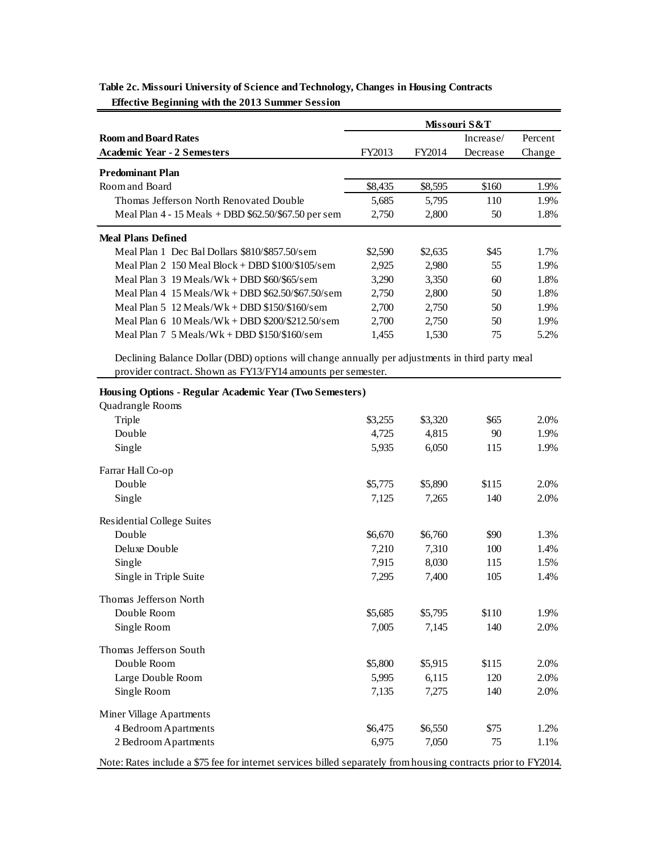|                                                                                                                | Missouri S&T |                  |            |         |
|----------------------------------------------------------------------------------------------------------------|--------------|------------------|------------|---------|
| <b>Room and Board Rates</b>                                                                                    |              |                  | Increase/  | Percent |
| <b>Academic Year - 2 Semesters</b>                                                                             | FY2013       | FY2014           | Decrease   | Change  |
| <b>Predominant Plan</b>                                                                                        |              |                  |            |         |
| Room and Board                                                                                                 | \$8,435      | \$8,595          | \$160      | 1.9%    |
| Thomas Jefferson North Renovated Double                                                                        | 5,685        | 5,795            | 110        | 1.9%    |
| Meal Plan 4 - 15 Meals + DBD \$62.50/\$67.50 per sem                                                           | 2,750        | 2,800            | 50         | 1.8%    |
|                                                                                                                |              |                  |            |         |
| <b>Meal Plans Defined</b><br>Meal Plan 1 Dec Bal Dollars \$810/\$857.50/sem                                    |              |                  |            | 1.7%    |
|                                                                                                                | \$2,590      | \$2,635          | \$45<br>55 | 1.9%    |
| Meal Plan 2 150 Meal Block + DBD \$100/\$105/sem                                                               | 2,925        | 2,980            |            |         |
| Meal Plan $3 \frac{19 \text{ Meals}}{Wk + DBD \ $60 \ $65 \text{/sem}}$                                        | 3,290        | 3,350            | 60         | 1.8%    |
| Meal Plan $4$ 15 Meals/Wk + DBD \$62.50/\$67.50/sem                                                            | 2,750        | 2,800            | 50         | 1.8%    |
| Meal Plan 5 $12$ Meals/Wk + DBD \$150/\$160/sem                                                                | 2,700        | 2,750            | 50         | 1.9%    |
| Meal Plan 6 10 Meals/Wk + DBD \$200/\$212.50/sem                                                               | 2,700        | 2,750            | 50         | 1.9%    |
| Meal Plan $7\,5$ Meals/Wk + DBD \$150/\$160/sem                                                                | 1,455        | 1,530            | 75         | 5.2%    |
| Declining Balance Dollar (DBD) options will change annually per adjustments in third party meal                |              |                  |            |         |
| provider contract. Shown as FY13/FY14 amounts per semester.                                                    |              |                  |            |         |
| Housing Options - Regular Academic Year (Two Semesters)                                                        |              |                  |            |         |
| Quadrangle Rooms                                                                                               |              |                  |            |         |
| Triple                                                                                                         | \$3,255      | \$3,320          | \$65       | 2.0%    |
| Double                                                                                                         | 4,725        | 4,815            | 90         | 1.9%    |
| Single                                                                                                         | 5,935        | 6,050            | 115        | 1.9%    |
|                                                                                                                |              |                  |            |         |
| Farrar Hall Co-op<br>Double                                                                                    |              |                  | \$115      | 2.0%    |
|                                                                                                                | \$5,775      | \$5,890          |            |         |
| Single                                                                                                         | 7,125        | 7,265            | 140        | 2.0%    |
| Residential College Suites                                                                                     |              |                  |            |         |
| Double                                                                                                         | \$6,670      | \$6,760          | \$90       | 1.3%    |
| Deluxe Double                                                                                                  | 7,210        | 7,310            | 100        | 1.4%    |
| Single                                                                                                         | 7,915        | 8,030            | 115        | 1.5%    |
| Single in Triple Suite                                                                                         | 7,295        | 7,400            | 105        | 1.4%    |
| Thomas Jefferson North                                                                                         |              |                  |            |         |
| Double Room                                                                                                    | \$5,685      |                  | \$110      | 1.9%    |
| Single Room                                                                                                    | 7,005        | \$5,795<br>7,145 | 140        | 2.0%    |
|                                                                                                                |              |                  |            |         |
| Thomas Jefferson South                                                                                         |              |                  |            |         |
| Double Room                                                                                                    | \$5,800      | \$5,915          | \$115      | 2.0%    |
| Large Double Room                                                                                              | 5,995        | 6,115            | 120        | 2.0%    |
| Single Room                                                                                                    | 7,135        | 7,275            | 140        | 2.0%    |
| Miner Village Apartments                                                                                       |              |                  |            |         |
| 4 Bedroom Apartments                                                                                           | \$6,475      | \$6,550          | \$75       | 1.2%    |
| 2 Bedroom Apartments                                                                                           | 6,975        | 7,050            | 75         | 1.1%    |
|                                                                                                                |              |                  |            |         |
| Note: Rates include a \$75 fee for internet services billed separately from housing contracts prior to FY2014. |              |                  |            |         |

**Table 2c. Missouri University of Science and Technology, Changes in Housing Contracts Effective Beginning with the 2013 Summer Session**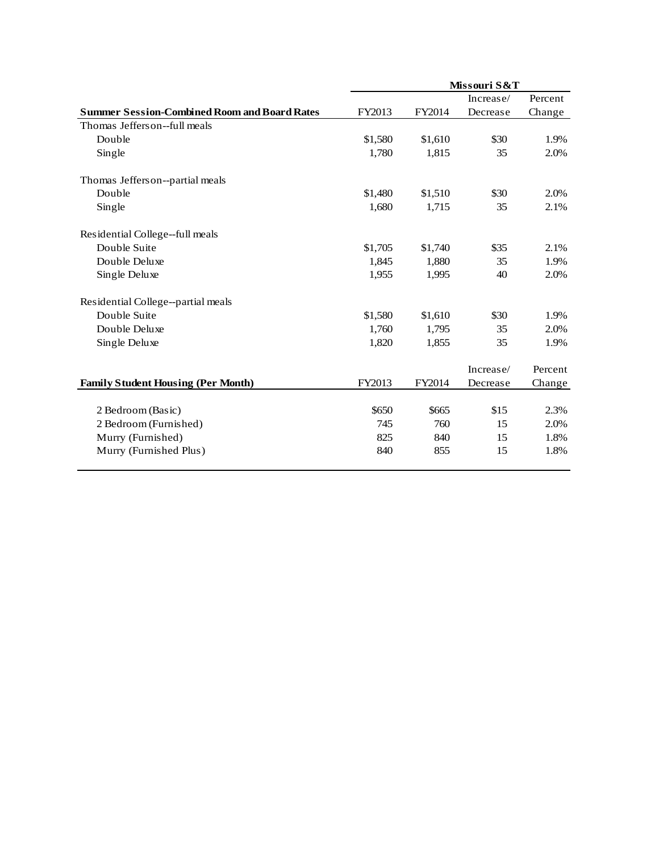|                                                     | Missouri S&T |         |           |         |  |  |
|-----------------------------------------------------|--------------|---------|-----------|---------|--|--|
|                                                     |              |         | Increase/ | Percent |  |  |
| <b>Summer Session-Combined Room and Board Rates</b> | FY2013       | FY2014  | Decrease  | Change  |  |  |
| Thomas Jefferson--full meals                        |              |         |           |         |  |  |
| Double                                              | \$1,580      | \$1,610 | \$30      | 1.9%    |  |  |
| Single                                              | 1,780        | 1,815   | 35        | 2.0%    |  |  |
| Thomas Jefferson--partial meals                     |              |         |           |         |  |  |
| Double                                              | \$1,480      | \$1,510 | \$30      | 2.0%    |  |  |
| Single                                              | 1,680        | 1,715   | 35        | 2.1%    |  |  |
| Residential College--full meals                     |              |         |           |         |  |  |
| Double Suite                                        | \$1,705      | \$1,740 | \$35      | 2.1%    |  |  |
| Double Deluxe                                       | 1,845        | 1,880   | 35        | 1.9%    |  |  |
| Single Deluxe                                       | 1,955        | 1,995   | 40        | 2.0%    |  |  |
| Residential College--partial meals                  |              |         |           |         |  |  |
| Double Suite                                        | \$1,580      | \$1,610 | \$30      | 1.9%    |  |  |
| Double Deluxe                                       | 1,760        | 1,795   | 35        | 2.0%    |  |  |
| Single Deluxe                                       | 1,820        | 1,855   | 35        | 1.9%    |  |  |
|                                                     |              |         | Increase/ | Percent |  |  |
| <b>Family Student Housing (Per Month)</b>           | FY2013       | FY2014  | Decrease  | Change  |  |  |
|                                                     |              |         |           |         |  |  |
| 2 Bedroom (Basic)                                   | \$650        | \$665   | \$15      | 2.3%    |  |  |
| 2 Bedroom (Furnished)                               | 745          | 760     | 15        | 2.0%    |  |  |
| Murry (Furnished)                                   | 825          | 840     | 15        | 1.8%    |  |  |
| Murry (Furnished Plus)                              | 840          | 855     | 15        | 1.8%    |  |  |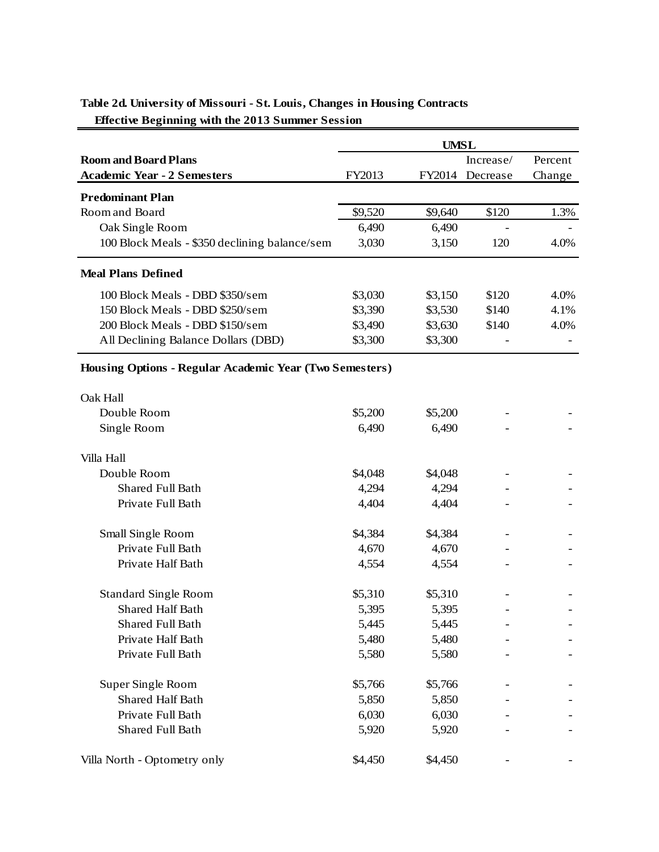|                                                                | <b>UMSL</b> |         |                 |         |  |  |
|----------------------------------------------------------------|-------------|---------|-----------------|---------|--|--|
| <b>Room and Board Plans</b>                                    |             |         | Increase/       | Percent |  |  |
| <b>Academic Year - 2 Semesters</b>                             | FY2013      |         | FY2014 Decrease | Change  |  |  |
| <b>Predominant Plan</b>                                        |             |         |                 |         |  |  |
| Room and Board                                                 | \$9,520     | \$9,640 | \$120           | 1.3%    |  |  |
| Oak Single Room                                                | 6,490       | 6,490   |                 |         |  |  |
| 100 Block Meals - \$350 declining balance/sem                  | 3,030       | 3,150   | 120             | 4.0%    |  |  |
| <b>Meal Plans Defined</b>                                      |             |         |                 |         |  |  |
| 100 Block Meals - DBD \$350/sem                                | \$3,030     | \$3,150 | \$120           | 4.0%    |  |  |
| 150 Block Meals - DBD \$250/sem                                | \$3,390     | \$3,530 | \$140           | 4.1%    |  |  |
| 200 Block Meals - DBD \$150/sem                                | \$3,490     | \$3,630 | \$140           | 4.0%    |  |  |
| All Declining Balance Dollars (DBD)                            | \$3,300     | \$3,300 |                 |         |  |  |
| <b>Housing Options - Regular Academic Year (Two Semesters)</b> |             |         |                 |         |  |  |
| Oak Hall                                                       |             |         |                 |         |  |  |
| Double Room                                                    | \$5,200     | \$5,200 |                 |         |  |  |
| Single Room                                                    | 6,490       | 6,490   |                 |         |  |  |
| Villa Hall                                                     |             |         |                 |         |  |  |
| Double Room                                                    | \$4,048     | \$4,048 |                 |         |  |  |
| Shared Full Bath                                               | 4,294       | 4,294   |                 |         |  |  |
| Private Full Bath                                              | 4,404       | 4,404   |                 |         |  |  |
| Small Single Room                                              | \$4,384     | \$4,384 |                 |         |  |  |
| Private Full Bath                                              | 4,670       | 4,670   |                 |         |  |  |
| Private Half Bath                                              | 4,554       | 4,554   |                 |         |  |  |
| <b>Standard Single Room</b>                                    | \$5,310     | \$5,310 |                 |         |  |  |
| <b>Shared Half Bath</b>                                        | 5,395       | 5,395   |                 |         |  |  |
| Shared Full Bath                                               | 5,445       | 5,445   |                 |         |  |  |
| Private Half Bath                                              | 5,480       | 5,480   |                 |         |  |  |
| Private Full Bath                                              | 5,580       | 5,580   |                 |         |  |  |
| Super Single Room                                              | \$5,766     | \$5,766 |                 |         |  |  |
| <b>Shared Half Bath</b>                                        | 5,850       | 5,850   |                 |         |  |  |
| Private Full Bath                                              | 6,030       | 6,030   |                 |         |  |  |
| <b>Shared Full Bath</b>                                        | 5,920       | 5,920   |                 |         |  |  |
| Villa North - Optometry only                                   | \$4,450     | \$4,450 |                 |         |  |  |

# **Table 2d. University of Missouri - St. Louis, Changes in Housing Contracts Effective Beginning with the 2013 Summer Session**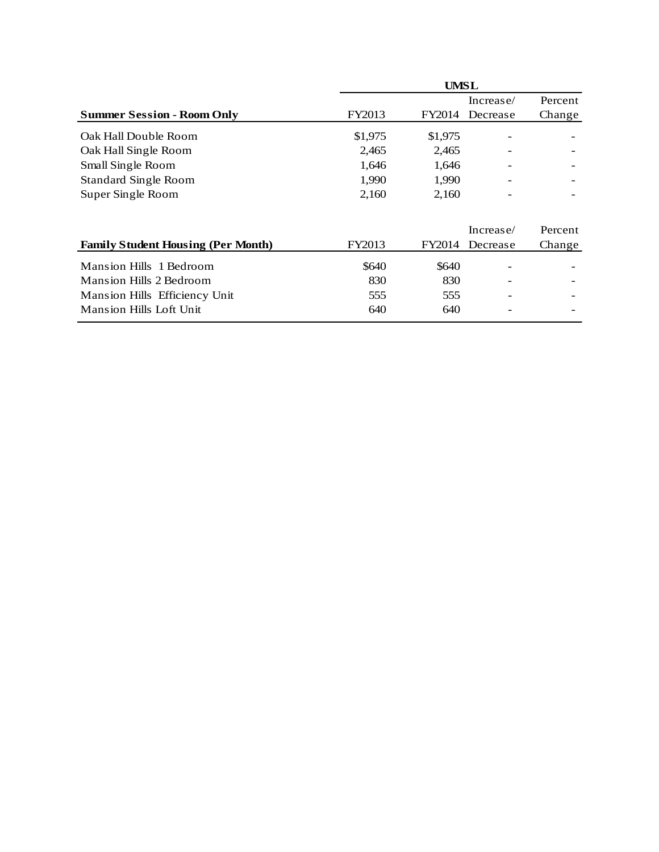|                                           | <b>UMSL</b> |         |           |         |  |  |  |  |
|-------------------------------------------|-------------|---------|-----------|---------|--|--|--|--|
|                                           |             |         | Increase/ | Percent |  |  |  |  |
| <b>Summer Session - Room Only</b>         | FY2013      | FY2014  | Decrease  | Change  |  |  |  |  |
| Oak Hall Double Room                      | \$1,975     | \$1,975 |           |         |  |  |  |  |
| Oak Hall Single Room                      | 2,465       | 2,465   |           |         |  |  |  |  |
| Small Single Room                         | 1,646       | 1,646   |           |         |  |  |  |  |
| <b>Standard Single Room</b>               | 1,990       | 1,990   |           |         |  |  |  |  |
| Super Single Room                         | 2,160       | 2,160   |           |         |  |  |  |  |
|                                           |             |         | Increase/ | Percent |  |  |  |  |
| <b>Family Student Housing (Per Month)</b> | FY2013      | FY2014  | Decrease  | Change  |  |  |  |  |
| Mansion Hills 1 Bedroom                   | \$640       | \$640   |           |         |  |  |  |  |
| Mansion Hills 2 Bedroom                   | 830         | 830     |           |         |  |  |  |  |
| Mansion Hills Efficiency Unit             | 555         | 555     |           |         |  |  |  |  |

Mansion Hills Loft Unit 640 640 - -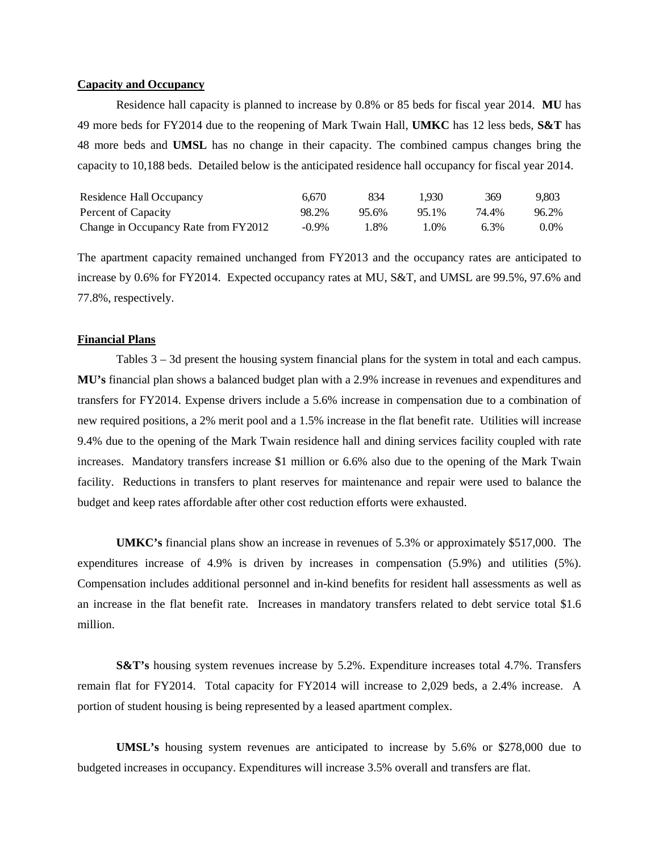## **Capacity and Occupancy**

Residence hall capacity is planned to increase by 0.8% or 85 beds for fiscal year 2014. **MU** has 49 more beds for FY2014 due to the reopening of Mark Twain Hall, **UMKC** has 12 less beds, **S&T** has 48 more beds and **UMSL** has no change in their capacity. The combined campus changes bring the capacity to 10,188 beds. Detailed below is the anticipated residence hall occupancy for fiscal year 2014.

| Residence Hall Occupancy             | 6.670    | 834   | 1.930 | 369     | 9.803 |
|--------------------------------------|----------|-------|-------|---------|-------|
| Percent of Capacity                  | 98.2%    | 95.6% | 95.1% | 74.4%   | 96.2% |
| Change in Occupancy Rate from FY2012 | $-0.9\%$ | 1.8%  | 1.0%  | $6.3\%$ | 0.0%  |

The apartment capacity remained unchanged from FY2013 and the occupancy rates are anticipated to increase by 0.6% for FY2014. Expected occupancy rates at MU, S&T, and UMSL are 99.5%, 97.6% and 77.8%, respectively.

## **Financial Plans**

Tables 3 – 3d present the housing system financial plans for the system in total and each campus. **MU's** financial plan shows a balanced budget plan with a 2.9% increase in revenues and expenditures and transfers for FY2014. Expense drivers include a 5.6% increase in compensation due to a combination of new required positions, a 2% merit pool and a 1.5% increase in the flat benefit rate. Utilities will increase 9.4% due to the opening of the Mark Twain residence hall and dining services facility coupled with rate increases. Mandatory transfers increase \$1 million or 6.6% also due to the opening of the Mark Twain facility. Reductions in transfers to plant reserves for maintenance and repair were used to balance the budget and keep rates affordable after other cost reduction efforts were exhausted.

**UMKC's** financial plans show an increase in revenues of 5.3% or approximately \$517,000. The expenditures increase of 4.9% is driven by increases in compensation (5.9%) and utilities (5%). Compensation includes additional personnel and in-kind benefits for resident hall assessments as well as an increase in the flat benefit rate. Increases in mandatory transfers related to debt service total \$1.6 million.

**S&T's** housing system revenues increase by 5.2%. Expenditure increases total 4.7%. Transfers remain flat for FY2014. Total capacity for FY2014 will increase to 2,029 beds, a 2.4% increase. A portion of student housing is being represented by a leased apartment complex.

**UMSL's** housing system revenues are anticipated to increase by 5.6% or \$278,000 due to budgeted increases in occupancy. Expenditures will increase 3.5% overall and transfers are flat.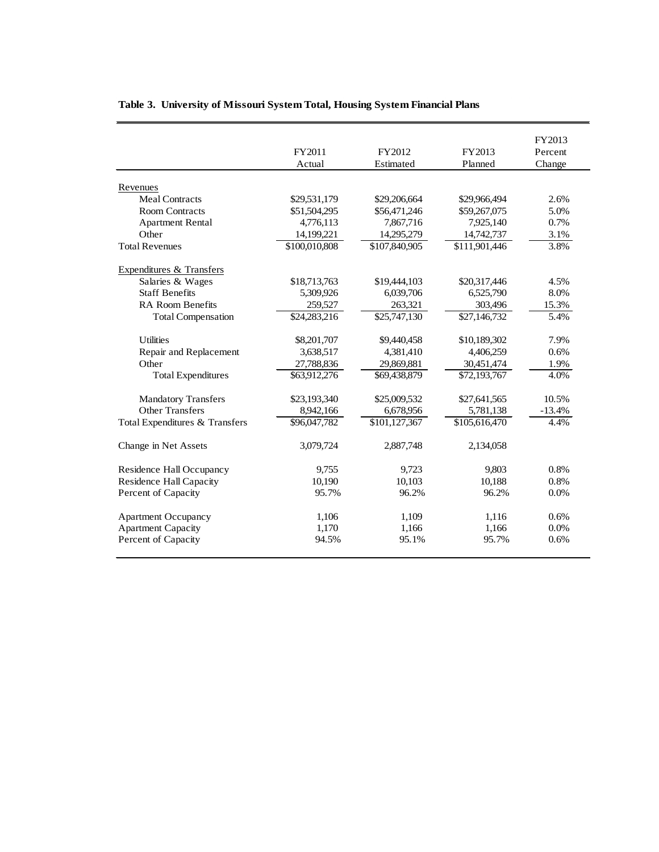|                                | FY2011<br>Actual | FY2012<br>Estimated | FY2013<br>Planned | FY2013<br>Percent<br>Change |
|--------------------------------|------------------|---------------------|-------------------|-----------------------------|
| Revenues                       |                  |                     |                   |                             |
| <b>Meal Contracts</b>          | \$29,531,179     | \$29,206,664        | \$29,966,494      | 2.6%                        |
| <b>Room Contracts</b>          | \$51,504,295     | \$56,471,246        | \$59,267,075      | 5.0%                        |
| <b>Apartment Rental</b>        | 4,776,113        | 7,867,716           | 7,925,140         | 0.7%                        |
| Other                          | 14,199,221       | 14,295,279          | 14,742,737        | 3.1%                        |
| <b>Total Revenues</b>          | \$100,010,808    | \$107,840,905       | \$111,901,446     | 3.8%                        |
| Expenditures & Transfers       |                  |                     |                   |                             |
| Salaries & Wages               | \$18,713,763     | \$19,444,103        | \$20,317,446      | 4.5%                        |
| <b>Staff Benefits</b>          | 5,309,926        | 6,039,706           | 6,525,790         | 8.0%                        |
| RA Room Benefits               | 259,527          | 263,321             | 303,496           | 15.3%                       |
| <b>Total Compensation</b>      | \$24,283,216     | \$25,747,130        | \$27,146,732      | 5.4%                        |
| <b>Utilities</b>               | \$8,201,707      | \$9,440,458         | \$10,189,302      | 7.9%                        |
| Repair and Replacement         | 3,638,517        | 4,381,410           | 4,406,259         | 0.6%                        |
| Other                          | 27,788,836       | 29,869,881          | 30,451,474        | 1.9%                        |
| <b>Total Expenditures</b>      | \$63,912,276     | \$69,438,879        | \$72,193,767      | 4.0%                        |
| <b>Mandatory Transfers</b>     | \$23,193,340     | \$25,009,532        | \$27,641,565      | 10.5%                       |
| <b>Other Transfers</b>         | 8,942,166        | 6,678,956           | 5,781,138         | $-13.4%$                    |
| Total Expenditures & Transfers | \$96,047,782     | \$101,127,367       | \$105,616,470     | 4.4%                        |
| Change in Net Assets           | 3,079,724        | 2,887,748           | 2,134,058         |                             |
| Residence Hall Occupancy       | 9,755            | 9,723               | 9,803             | 0.8%                        |
| <b>Residence Hall Capacity</b> | 10,190           | 10,103              | 10,188            | 0.8%                        |
| Percent of Capacity            | 95.7%            | 96.2%               | 96.2%             | 0.0%                        |
| <b>Apartment Occupancy</b>     | 1,106            | 1,109               | 1,116             | 0.6%                        |
| <b>Apartment Capacity</b>      | 1,170            | 1,166               | 1,166             | 0.0%                        |
| Percent of Capacity            | 94.5%            | 95.1%               | 95.7%             | 0.6%                        |

2

# **Table 3. University of Missouri System Total, Housing System Financial Plans**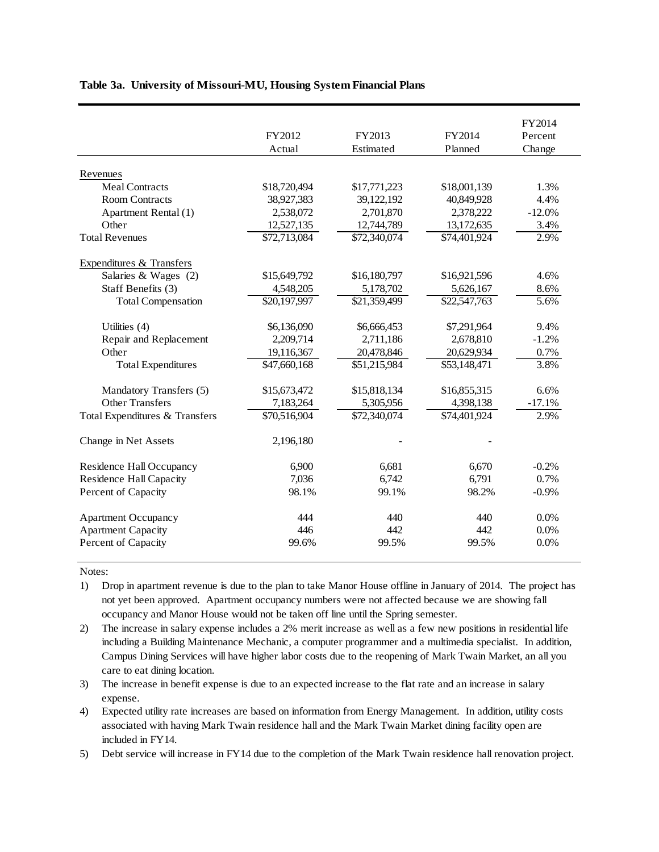|  |  | Table 3a. University of Missouri-MU, Housing System Financial Plans |  |  |  |
|--|--|---------------------------------------------------------------------|--|--|--|
|--|--|---------------------------------------------------------------------|--|--|--|

|                                | FY2012       | FY2013       | FY2014       | FY2014<br>Percent |
|--------------------------------|--------------|--------------|--------------|-------------------|
|                                | Actual       | Estimated    | Planned      | Change            |
| Revenues                       |              |              |              |                   |
| <b>Meal Contracts</b>          | \$18,720,494 | \$17,771,223 | \$18,001,139 | 1.3%              |
| <b>Room Contracts</b>          | 38,927,383   | 39,122,192   | 40,849,928   | 4.4%              |
| Apartment Rental (1)           | 2,538,072    | 2,701,870    | 2,378,222    | $-12.0%$          |
| Other                          | 12,527,135   | 12,744,789   | 13,172,635   | 3.4%              |
| <b>Total Revenues</b>          | \$72,713,084 | \$72,340,074 | \$74,401,924 | 2.9%              |
| Expenditures & Transfers       |              |              |              |                   |
| Salaries & Wages (2)           | \$15,649,792 | \$16,180,797 | \$16,921,596 | 4.6%              |
| Staff Benefits (3)             | 4,548,205    | 5,178,702    | 5,626,167    | 8.6%              |
| <b>Total Compensation</b>      | \$20,197,997 | \$21,359,499 | \$22,547,763 | 5.6%              |
| Utilities (4)                  | \$6,136,090  | \$6,666,453  | \$7,291,964  | 9.4%              |
| Repair and Replacement         | 2,209,714    | 2,711,186    | 2,678,810    | $-1.2%$           |
| Other                          | 19,116,367   | 20,478,846   | 20,629,934   | 0.7%              |
| <b>Total Expenditures</b>      | \$47,660,168 | \$51,215,984 | \$53,148,471 | 3.8%              |
| Mandatory Transfers (5)        | \$15,673,472 | \$15,818,134 | \$16,855,315 | 6.6%              |
| <b>Other Transfers</b>         | 7,183,264    | 5,305,956    | 4,398,138    | $-17.1%$          |
| Total Expenditures & Transfers | \$70,516,904 | \$72,340,074 | \$74,401,924 | 2.9%              |
| Change in Net Assets           | 2,196,180    |              |              |                   |
| Residence Hall Occupancy       | 6,900        | 6.681        | 6,670        | $-0.2%$           |
| <b>Residence Hall Capacity</b> | 7,036        | 6,742        | 6,791        | 0.7%              |
| Percent of Capacity            | 98.1%        | 99.1%        | 98.2%        | $-0.9%$           |
| <b>Apartment Occupancy</b>     | 444          | 440          | 440          | 0.0%              |
| <b>Apartment Capacity</b>      | 446          | 442          | 442          | 0.0%              |
| Percent of Capacity            | 99.6%        | 99.5%        | 99.5%        | 0.0%              |

Notes:

- 1) Drop in apartment revenue is due to the plan to take Manor House offline in January of 2014. The project has not yet been approved. Apartment occupancy numbers were not affected because we are showing fall occupancy and Manor House would not be taken off line until the Spring semester.
- 2) The increase in salary expense includes a 2% merit increase as well as a few new positions in residential life including a Building Maintenance Mechanic, a computer programmer and a multimedia specialist. In addition, Campus Dining Services will have higher labor costs due to the reopening of Mark Twain Market, an all you care to eat dining location.
- 3) The increase in benefit expense is due to an expected increase to the flat rate and an increase in salary expense.
- 4) Expected utility rate increases are based on information from Energy Management. In addition, utility costs associated with having Mark Twain residence hall and the Mark Twain Market dining facility open are included in FY14.
- 5) Debt service will increase in FY14 due to the completion of the Mark Twain residence hall renovation project.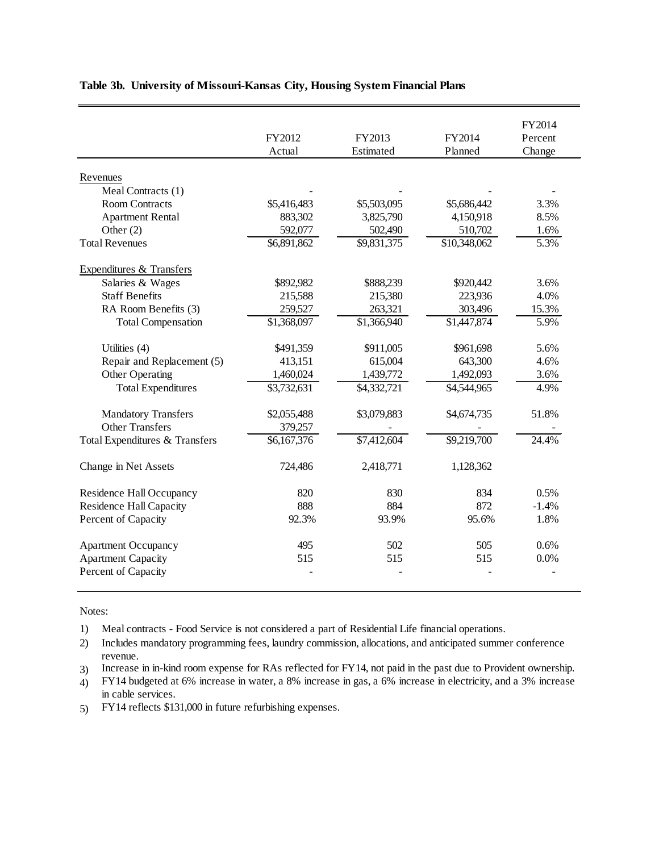|                                | FY2012                  | FY2013                 | FY2014       | FY2014<br>Percent |
|--------------------------------|-------------------------|------------------------|--------------|-------------------|
|                                | Actual                  | Estimated              | Planned      | Change            |
|                                |                         |                        |              |                   |
| Revenues                       |                         |                        |              |                   |
| Meal Contracts (1)             |                         |                        |              |                   |
| <b>Room Contracts</b>          | \$5,416,483             | \$5,503,095            | \$5,686,442  | 3.3%              |
| <b>Apartment Rental</b>        | 883,302                 | 3,825,790              | 4,150,918    | 8.5%              |
| Other $(2)$                    | 592,077                 | 502,490                | 510,702      | 1.6%              |
| <b>Total Revenues</b>          | \$6,891,862             | \$9,831,375            | \$10,348,062 | 5.3%              |
| Expenditures & Transfers       |                         |                        |              |                   |
| Salaries & Wages               | \$892,982               | \$888,239              | \$920,442    | 3.6%              |
| <b>Staff Benefits</b>          | 215,588                 | 215,380                | 223,936      | 4.0%              |
| RA Room Benefits (3)           | 259,527                 | 263,321                | 303,496      | 15.3%             |
| <b>Total Compensation</b>      | \$1,368,097             | \$1,366,940            | \$1,447,874  | 5.9%              |
| Utilities (4)                  | \$491,359               | \$911,005              | \$961,698    | 5.6%              |
| Repair and Replacement (5)     | 413,151                 | 615,004                | 643,300      | 4.6%              |
| Other Operating                | 1,460,024               | 1,439,772              | 1,492,093    | 3.6%              |
| <b>Total Expenditures</b>      | \$3,732,631             | $\overline{4,332,721}$ | \$4,544,965  | 4.9%              |
| <b>Mandatory Transfers</b>     | \$2,055,488             | \$3,079,883            | \$4,674,735  | 51.8%             |
| <b>Other Transfers</b>         | 379,257                 |                        |              |                   |
| Total Expenditures & Transfers | $\overline{$6,167,376}$ | \$7,412,604            | \$9,219,700  | 24.4%             |
|                                |                         |                        |              |                   |
| Change in Net Assets           | 724,486                 | 2,418,771              | 1,128,362    |                   |
| Residence Hall Occupancy       | 820                     | 830                    | 834          | 0.5%              |
| <b>Residence Hall Capacity</b> | 888                     | 884                    | 872          | $-1.4%$           |
| Percent of Capacity            | 92.3%                   | 93.9%                  | 95.6%        | 1.8%              |
| <b>Apartment Occupancy</b>     | 495                     | 502                    | 505          | 0.6%              |
| <b>Apartment Capacity</b>      | 515                     | 515                    | 515          | 0.0%              |
| Percent of Capacity            |                         |                        |              |                   |

# **Table 3b. University of Missouri-Kansas City, Housing System Financial Plans**

Notes:

1) Meal contracts - Food Service is not considered a part of Residential Life financial operations.

2) Includes mandatory programming fees, laundry commission, allocations, and anticipated summer conference revenue.

3) Increase in in-kind room expense for RAs reflected for FY14, not paid in the past due to Provident ownership.

4) FY14 budgeted at 6% increase in water, a 8% increase in gas, a 6% increase in electricity, and a 3% increase in cable services.

5) FY14 reflects \$131,000 in future refurbishing expenses.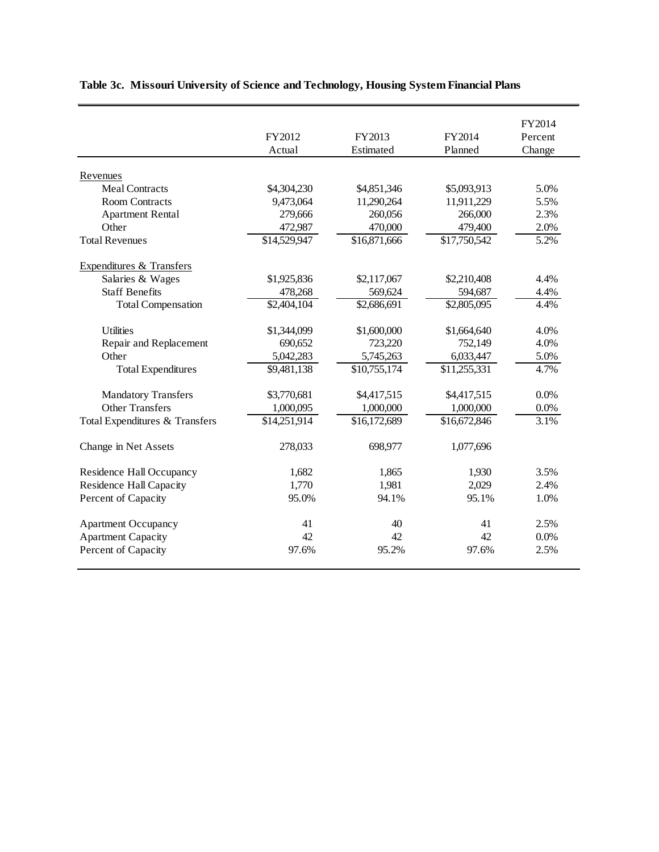|                                | FY2012<br>Actual         | FY2013<br>Estimated     | FY2014<br>Planned       | FY2014<br>Percent<br>Change |
|--------------------------------|--------------------------|-------------------------|-------------------------|-----------------------------|
| Revenues                       |                          |                         |                         |                             |
| <b>Meal Contracts</b>          | \$4,304,230              | \$4,851,346             | \$5,093,913             | 5.0%                        |
| <b>Room Contracts</b>          | 9,473,064                | 11,290,264              | 11,911,229              | 5.5%                        |
| <b>Apartment Rental</b>        | 279,666                  | 260,056                 | 266,000                 | 2.3%                        |
| Other                          | 472,987                  | 470,000                 | 479,400                 | 2.0%                        |
| <b>Total Revenues</b>          | \$14,529,947             | \$16,871,666            | \$17,750,542            | 5.2%                        |
| Expenditures & Transfers       |                          |                         |                         |                             |
| Salaries & Wages               | \$1,925,836              | \$2,117,067             | \$2,210,408             | 4.4%                        |
| <b>Staff Benefits</b>          | 478,268                  | 569,624                 | 594,687                 | 4.4%                        |
| <b>Total Compensation</b>      | $\overline{$}2,404,104$  | $\overline{$}2,686,691$ | $\overline{$2,805,095}$ | 4.4%                        |
| <b>Utilities</b>               | \$1,344,099              | \$1,600,000             | \$1,664,640             | 4.0%                        |
| Repair and Replacement         | 690,652                  | 723,220                 | 752,149                 | 4.0%                        |
| Other                          | 5,042,283                | 5,745,263               | 6,033,447               | 5.0%                        |
| <b>Total Expenditures</b>      | $\overline{\$9,481,138}$ | \$10,755,174            | \$11,255,331            | 4.7%                        |
| <b>Mandatory Transfers</b>     | \$3,770,681              | \$4,417,515             | \$4,417,515             | 0.0%                        |
| Other Transfers                | 1,000,095                | 1,000,000               | 1,000,000               | 0.0%                        |
| Total Expenditures & Transfers | \$14,251,914             | \$16,172,689            | \$16,672,846            | 3.1%                        |
| Change in Net Assets           | 278,033                  | 698,977                 | 1,077,696               |                             |
| Residence Hall Occupancy       | 1,682                    | 1,865                   | 1,930                   | 3.5%                        |
| <b>Residence Hall Capacity</b> | 1,770                    | 1,981                   | 2,029                   | 2.4%                        |
| Percent of Capacity            | 95.0%                    | 94.1%                   | 95.1%                   | 1.0%                        |
| <b>Apartment Occupancy</b>     | 41                       | 40                      | 41                      | 2.5%                        |
| <b>Apartment Capacity</b>      | 42                       | 42                      | 42                      | 0.0%                        |
| Percent of Capacity            | 97.6%                    | 95.2%                   | 97.6%                   | 2.5%                        |

# **Table 3c. Missouri University of Science and Technology, Housing System Financial Plans**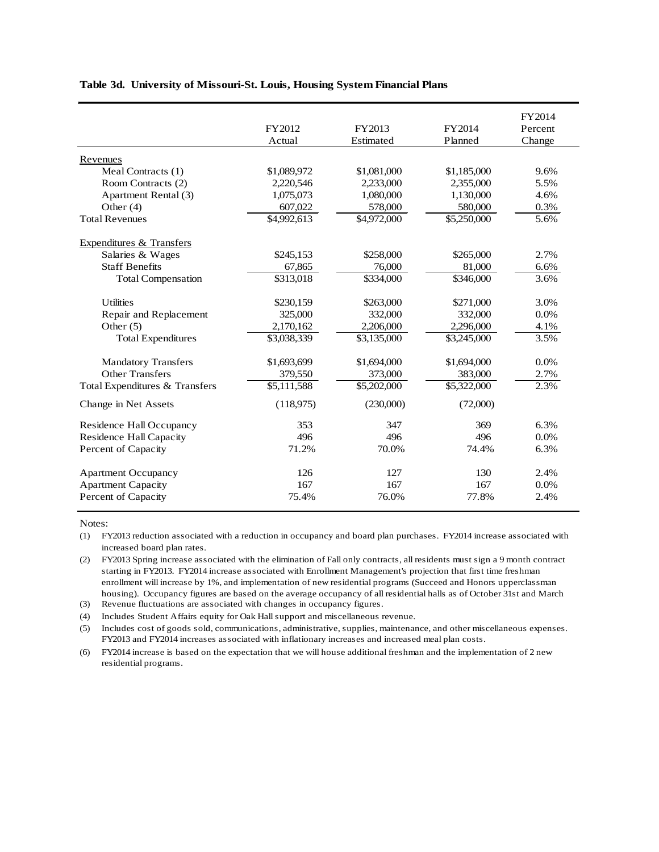#### **Table 3d. University of Missouri-St. Louis, Housing System Financial Plans**

|                                     | FY2012<br>Actual | FY2013<br>Estimated     | FY2014<br>Planned       | FY2014<br>Percent<br>Change |
|-------------------------------------|------------------|-------------------------|-------------------------|-----------------------------|
|                                     |                  |                         |                         |                             |
| Revenues                            |                  |                         |                         |                             |
| Meal Contracts (1)                  | \$1,089,972      | \$1,081,000             | \$1,185,000             | 9.6%                        |
| Room Contracts (2)                  | 2,220,546        | 2,233,000               | 2,355,000               | 5.5%                        |
| Apartment Rental (3)                | 1,075,073        | 1,080,000               | 1,130,000               | 4.6%                        |
| Other $(4)$                         | 607,022          | 578,000                 | 580,000                 | 0.3%                        |
| <b>Total Revenues</b>               | \$4,992,613      | \$4,972,000             | \$5,250,000             | 5.6%                        |
| <b>Expenditures &amp; Transfers</b> |                  |                         |                         |                             |
| Salaries & Wages                    | \$245,153        | \$258,000               | \$265,000               | 2.7%                        |
| <b>Staff Benefits</b>               | 67,865           | 76,000                  | 81,000                  | 6.6%                        |
| <b>Total Compensation</b>           | \$313,018        | \$334,000               | \$346,000               | 3.6%                        |
| <b>Utilities</b>                    | \$230,159        | \$263,000               | \$271,000               | 3.0%                        |
| Repair and Replacement              | 325,000          | 332,000                 | 332,000                 | 0.0%                        |
| Other $(5)$                         | 2,170,162        | 2,206,000               | 2,296,000               | 4.1%                        |
| <b>Total Expenditures</b>           | \$3,038,339      | \$3,135,000             | \$3,245,000             | 3.5%                        |
| <b>Mandatory Transfers</b>          | \$1,693,699      | \$1,694,000             | \$1,694,000             | 0.0%                        |
| <b>Other Transfers</b>              | 379,550          | 373,000                 | 383,000                 | 2.7%                        |
| Total Expenditures & Transfers      | \$5,111,588      | $\overline{$}5,202,000$ | $\overline{$}5,322,000$ | 2.3%                        |
| Change in Net Assets                | (118,975)        | (230,000)               | (72,000)                |                             |
| Residence Hall Occupancy            | 353              | 347                     | 369                     | 6.3%                        |
| <b>Residence Hall Capacity</b>      | 496              | 496                     | 496                     | 0.0%                        |
| Percent of Capacity                 | 71.2%            | 70.0%                   | 74.4%                   | 6.3%                        |
| <b>Apartment Occupancy</b>          | 126              | 127                     | 130                     | 2.4%                        |
| <b>Apartment Capacity</b>           | 167              | 167                     | 167                     | 0.0%                        |
| Percent of Capacity                 | 75.4%            | 76.0%                   | 77.8%                   | 2.4%                        |

Notes:

(1) FY2013 reduction associated with a reduction in occupancy and board plan purchases. FY2014 increase associated with increased board plan rates.

(2) FY2013 Spring increase associated with the elimination of Fall only contracts, all residents must sign a 9 month contract starting in FY2013. FY2014 increase associated with Enrollment Management's projection that first time freshman enrollment will increase by 1%, and implementation of new residential programs (Succeed and Honors upperclassman housing). Occupancy figures are based on the average occupancy of all residential halls as of October 31st and March

(3) Revenue fluctuations are associated with changes in occupancy figures.

(4) Includes Student Affairs equity for Oak Hall support and miscellaneous revenue.

(5) Includes cost of goods sold, communications, administrative, supplies, maintenance, and other miscellaneous expenses. FY2013 and FY2014 increases associated with inflationary increases and increased meal plan costs.

(6) FY2014 increase is based on the expectation that we will house additional freshman and the implementation of 2 new residential programs.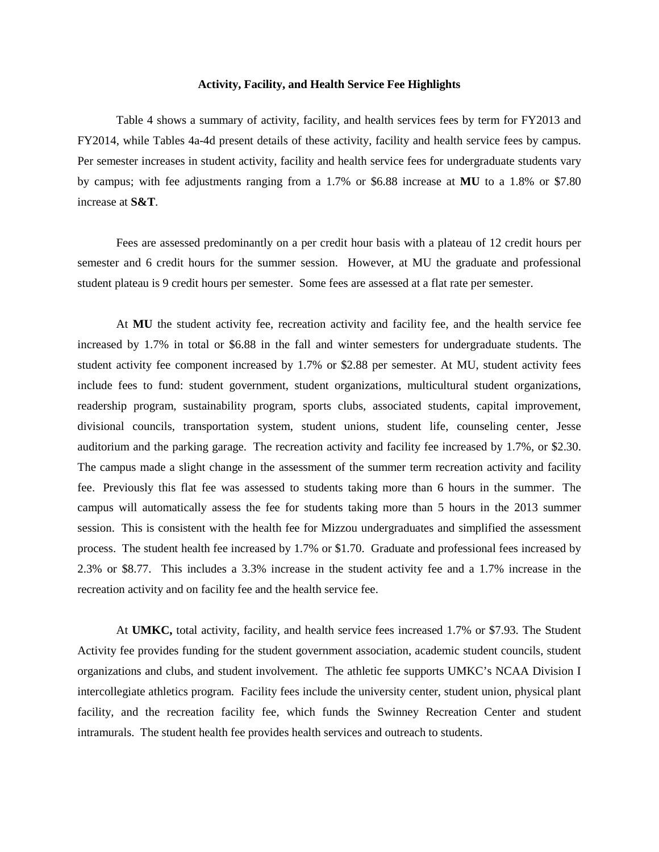## **Activity, Facility, and Health Service Fee Highlights**

Table 4 shows a summary of activity, facility, and health services fees by term for FY2013 and FY2014, while Tables 4a-4d present details of these activity, facility and health service fees by campus. Per semester increases in student activity, facility and health service fees for undergraduate students vary by campus; with fee adjustments ranging from a 1.7% or \$6.88 increase at **MU** to a 1.8% or \$7.80 increase at **S&T**.

Fees are assessed predominantly on a per credit hour basis with a plateau of 12 credit hours per semester and 6 credit hours for the summer session. However, at MU the graduate and professional student plateau is 9 credit hours per semester. Some fees are assessed at a flat rate per semester.

At **MU** the student activity fee, recreation activity and facility fee, and the health service fee increased by 1.7% in total or \$6.88 in the fall and winter semesters for undergraduate students. The student activity fee component increased by 1.7% or \$2.88 per semester. At MU, student activity fees include fees to fund: student government, student organizations, multicultural student organizations, readership program, sustainability program, sports clubs, associated students, capital improvement, divisional councils, transportation system, student unions, student life, counseling center, Jesse auditorium and the parking garage. The recreation activity and facility fee increased by 1.7%, or \$2.30. The campus made a slight change in the assessment of the summer term recreation activity and facility fee. Previously this flat fee was assessed to students taking more than 6 hours in the summer. The campus will automatically assess the fee for students taking more than 5 hours in the 2013 summer session. This is consistent with the health fee for Mizzou undergraduates and simplified the assessment process. The student health fee increased by 1.7% or \$1.70. Graduate and professional fees increased by 2.3% or \$8.77. This includes a 3.3% increase in the student activity fee and a 1.7% increase in the recreation activity and on facility fee and the health service fee.

At **UMKC,** total activity, facility, and health service fees increased 1.7% or \$7.93. The Student Activity fee provides funding for the student government association, academic student councils, student organizations and clubs, and student involvement. The athletic fee supports UMKC's NCAA Division I intercollegiate athletics program. Facility fees include the university center, student union, physical plant facility, and the recreation facility fee, which funds the Swinney Recreation Center and student intramurals. The student health fee provides health services and outreach to students.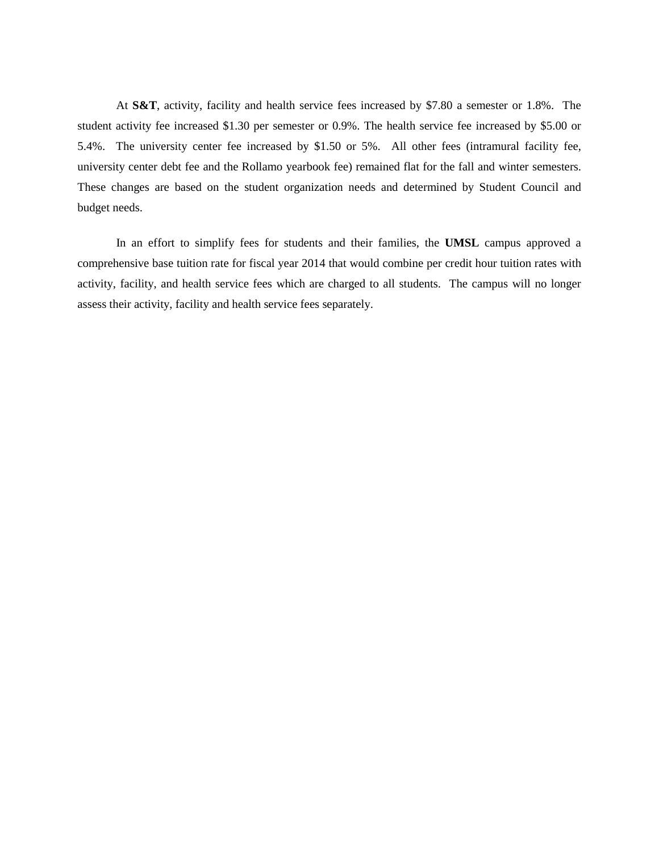At **S&T**, activity, facility and health service fees increased by \$7.80 a semester or 1.8%. The student activity fee increased \$1.30 per semester or 0.9%. The health service fee increased by \$5.00 or 5.4%. The university center fee increased by \$1.50 or 5%. All other fees (intramural facility fee, university center debt fee and the Rollamo yearbook fee) remained flat for the fall and winter semesters. These changes are based on the student organization needs and determined by Student Council and budget needs.

In an effort to simplify fees for students and their families, the **UMSL** campus approved a comprehensive base tuition rate for fiscal year 2014 that would combine per credit hour tuition rates with activity, facility, and health service fees which are charged to all students. The campus will no longer assess their activity, facility and health service fees separately.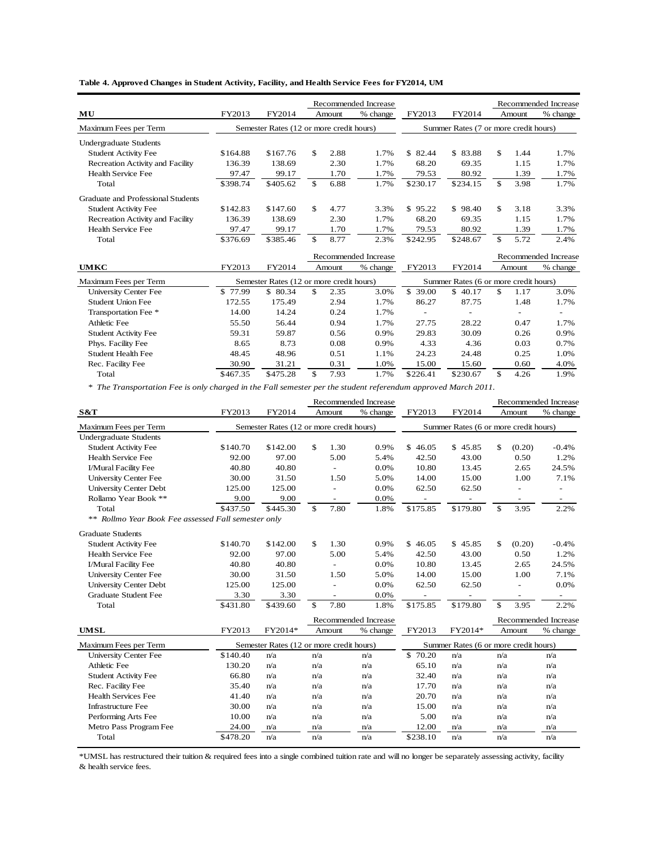|  |  |  |  |  |  | Table 4. Approved Changes in Student Activity, Facility, and Health Service Fees for FY2014, UM |  |  |  |  |
|--|--|--|--|--|--|-------------------------------------------------------------------------------------------------|--|--|--|--|
|--|--|--|--|--|--|-------------------------------------------------------------------------------------------------|--|--|--|--|

|                                    |          |                                          |     |        | Recommended Increase |             |                                       |     |        | Recommended Increase |
|------------------------------------|----------|------------------------------------------|-----|--------|----------------------|-------------|---------------------------------------|-----|--------|----------------------|
| MU                                 | FY2013   | FY2014                                   |     | Amount | % change             | FY2013      | FY2014                                |     | Amount | % change             |
| Maximum Fees per Term              |          | Semester Rates (12 or more credit hours) |     |        |                      |             | Summer Rates (7 or more credit hours) |     |        |                      |
| Undergraduate Students             |          |                                          |     |        |                      |             |                                       |     |        |                      |
| <b>Student Activity Fee</b>        | \$164.88 | \$167.76                                 | \$  | 2.88   | 1.7%                 | S.<br>82.44 | \$83.88                               | \$. | 1.44   | 1.7%                 |
| Recreation Activity and Facility   | 136.39   | 138.69                                   |     | 2.30   | 1.7%                 | 68.20       | 69.35                                 |     | 1.15   | 1.7%                 |
| Health Service Fee                 | 97.47    | 99.17                                    |     | 1.70   | 1.7%                 | 79.53       | 80.92                                 |     | 1.39   | 1.7%                 |
| Total                              | \$398.74 | \$405.62                                 | \$. | 6.88   | 1.7%                 | \$230.17    | \$234.15                              | \$  | 3.98   | 1.7%                 |
| Graduate and Professional Students |          |                                          |     |        |                      |             |                                       |     |        |                      |
| <b>Student Activity Fee</b>        | \$142.83 | \$147.60                                 | \$  | 4.77   | 3.3%                 | \$95.22     | \$98.40                               | \$  | 3.18   | 3.3%                 |
| Recreation Activity and Facility   | 136.39   | 138.69                                   |     | 2.30   | 1.7%                 | 68.20       | 69.35                                 |     | 1.15   | 1.7%                 |
| Health Service Fee                 | 97.47    | 99.17                                    |     | 1.70   | 1.7%                 | 79.53       | 80.92                                 |     | 1.39   | 1.7%                 |
| Total                              | \$376.69 | \$385.46                                 | \$. | 8.77   | 2.3%                 | \$242.95    | \$248.67                              | S   | 5.72   | 2.4%                 |

|                             |          | Recommended Increase                     |     |        |          |                                       |                          |    |                          |          |
|-----------------------------|----------|------------------------------------------|-----|--------|----------|---------------------------------------|--------------------------|----|--------------------------|----------|
| <b>UMKC</b>                 | FY2013   | FY2014                                   |     | Amount | % change | FY2013                                | FY2014                   |    | Amount                   | % change |
| Maximum Fees per Term       |          | Semester Rates (12 or more credit hours) |     |        |          | Summer Rates (6 or more credit hours) |                          |    |                          |          |
| University Center Fee       | \$77.99  | \$ 80.34                                 | \$. | 2.35   | 3.0%     | \$<br>39.00                           | \$40.17                  | \$ | 1.17                     | 3.0%     |
| Student Union Fee           | 172.55   | 175.49                                   |     | 2.94   | 1.7%     | 86.27                                 | 87.75                    |    | 1.48                     | 1.7%     |
| Transportation Fee *        | 14.00    | 14.24                                    |     | 0.24   | 1.7%     |                                       | $\overline{\phantom{0}}$ |    | $\overline{\phantom{0}}$ | -        |
| Athletic Fee                | 55.50    | 56.44                                    |     | 0.94   | 1.7%     | 27.75                                 | 28.22                    |    | 0.47                     | 1.7%     |
| <b>Student Activity Fee</b> | 59.31    | 59.87                                    |     | 0.56   | 0.9%     | 29.83                                 | 30.09                    |    | 0.26                     | 0.9%     |
| Phys. Facility Fee          | 8.65     | 8.73                                     |     | 0.08   | 0.9%     | 4.33                                  | 4.36                     |    | 0.03                     | 0.7%     |
| <b>Student Health Fee</b>   | 48.45    | 48.96                                    |     | 0.51   | 1.1%     | 24.23                                 | 24.48                    |    | 0.25                     | 1.0%     |
| Rec. Facility Fee           | 30.90    | 31.21                                    |     | 0.31   | 1.0%     | 15.00                                 | 15.60                    |    | 0.60                     | 4.0%     |
| Total                       | \$467.35 | \$475.28                                 | \$  | 7.93   | 1.7%     | \$226.41                              | \$230.67                 | \$ | 4.26                     | 1.9%     |

*\* The Transportation Fee is only charged in the Fall semester per the student referendum approved March 2011.*

|                                                     |          |                                          |               |        | Recommended Increase |              |                                       | Recommended Increase |        |          |
|-----------------------------------------------------|----------|------------------------------------------|---------------|--------|----------------------|--------------|---------------------------------------|----------------------|--------|----------|
| S&T                                                 | FY2013   | FY2014                                   |               | Amount | % change             | FY2013       | FY2014                                |                      | Amount | % change |
| Maximum Fees per Term                               |          | Semester Rates (12 or more credit hours) |               |        |                      |              | Summer Rates (6 or more credit hours) |                      |        |          |
| <b>Undergraduate Students</b>                       |          |                                          |               |        |                      |              |                                       |                      |        |          |
| <b>Student Activity Fee</b>                         | \$140.70 | \$142.00                                 | \$            | 1.30   | 0.9%                 | 46.05<br>\$. | \$45.85                               | \$                   | (0.20) | $-0.4%$  |
| Health Service Fee                                  | 92.00    | 97.00                                    |               | 5.00   | 5.4%                 | 42.50        | 43.00                                 |                      | 0.50   | 1.2%     |
| I/Mural Facility Fee                                | 40.80    | 40.80                                    |               | ٠      | 0.0%                 | 10.80        | 13.45                                 |                      | 2.65   | 24.5%    |
| <b>University Center Fee</b>                        | 30.00    | 31.50                                    |               | 1.50   | 5.0%                 | 14.00        | 15.00                                 |                      | 1.00   | 7.1%     |
| <b>University Center Debt</b>                       | 125.00   | 125.00                                   |               | ä,     | 0.0%                 | 62.50        | 62.50                                 |                      |        | $\equiv$ |
| Rollamo Year Book **                                | 9.00     | 9.00                                     |               |        | 0.0%                 |              |                                       |                      |        |          |
| Total                                               | \$437.50 | \$445.30                                 | \$            | 7.80   | 1.8%                 | \$175.85     | \$179.80                              | \$                   | 3.95   | 2.2%     |
| ** Rollmo Year Book Fee assessed Fall semester only |          |                                          |               |        |                      |              |                                       |                      |        |          |
| <b>Graduate Students</b>                            |          |                                          |               |        |                      |              |                                       |                      |        |          |
| <b>Student Activity Fee</b>                         | \$140.70 | \$142.00                                 | \$            | 1.30   | 0.9%                 | \$46.05      | \$45.85                               | $\mathbb{S}$         | (0.20) | $-0.4%$  |
| Health Service Fee                                  | 92.00    | 97.00                                    |               | 5.00   | 5.4%                 | 42.50        | 43.00                                 |                      | 0.50   | 1.2%     |
| I/Mural Facility Fee                                | 40.80    | 40.80                                    |               |        | 0.0%                 | 10.80        | 13.45                                 |                      | 2.65   | 24.5%    |
| <b>University Center Fee</b>                        | 30.00    | 31.50                                    |               | 1.50   | 5.0%                 | 14.00        | 15.00                                 |                      | 1.00   | 7.1%     |
| <b>University Center Debt</b>                       | 125.00   | 125.00                                   |               | ÷,     | 0.0%                 | 62.50        | 62.50                                 |                      |        | 0.0%     |
| <b>Graduate Student Fee</b>                         | 3.30     | 3.30                                     |               | $\sim$ | 0.0%                 |              |                                       |                      |        |          |
| Total                                               | \$431.80 | \$439.60                                 | $\mathcal{S}$ | 7.80   | 1.8%                 | \$175.85     | \$179.80                              | \$                   | 3.95   | 2.2%     |
|                                                     |          |                                          |               |        | Recommended Increase |              |                                       | Recommended Increase |        |          |
| <b>UMSL</b>                                         | FY2013   | FY2014*                                  |               | Amount | % change             | FY2013       | FY2014*                               |                      | Amount | % change |
| Maximum Fees per Term                               |          | Semester Rates (12 or more credit hours) |               |        |                      |              | Summer Rates (6 or more credit hours) |                      |        |          |
| <b>University Center Fee</b>                        | \$140.40 | n/a                                      | n/a           |        | n/a                  | \$70.20      | n/a                                   | n/a                  |        | n/a      |
| Athletic Fee                                        | 130.20   | n/a                                      | n/a           |        | n/a                  | 65.10        | n/a                                   | n/a                  |        | n/a      |
| <b>Student Activity Fee</b>                         | 66.80    | n/a                                      | n/a           |        | n/a                  | 32.40        | n/a                                   | n/a                  |        | n/a      |
| Rec. Facility Fee                                   | 35.40    | n/a                                      | n/a           |        | n/a                  | 17.70        | n/a                                   | n/a                  |        | n/a      |
| <b>Health Services Fee</b>                          | 41.40    | n/a                                      | n/a           |        | n/a                  | 20.70        | n/a                                   | n/a                  |        | n/a      |
| <b>Infrastructure Fee</b>                           | 30.00    | n/a                                      | n/a           |        | n/a                  | 15.00        | n/a                                   | n/a                  |        | n/a      |
| Performing Arts Fee                                 | 10.00    | n/a                                      | n/a           |        | n/a                  | 5.00         | n/a                                   | n/a                  |        | n/a      |
| Metro Pass Program Fee                              | 24.00    | n/a                                      | n/a           |        | n/a                  | 12.00        | n/a                                   | n/a                  |        | n/a      |
| Total                                               | \$478.20 | n/a                                      | n/a           |        | n/a                  | \$238.10     | n/a                                   | n/a                  |        | n/a      |

\*UMSL has restructured their tuition & required fees into a single combined tuition rate and will no longer be separately assessing activity, facility & health service fees.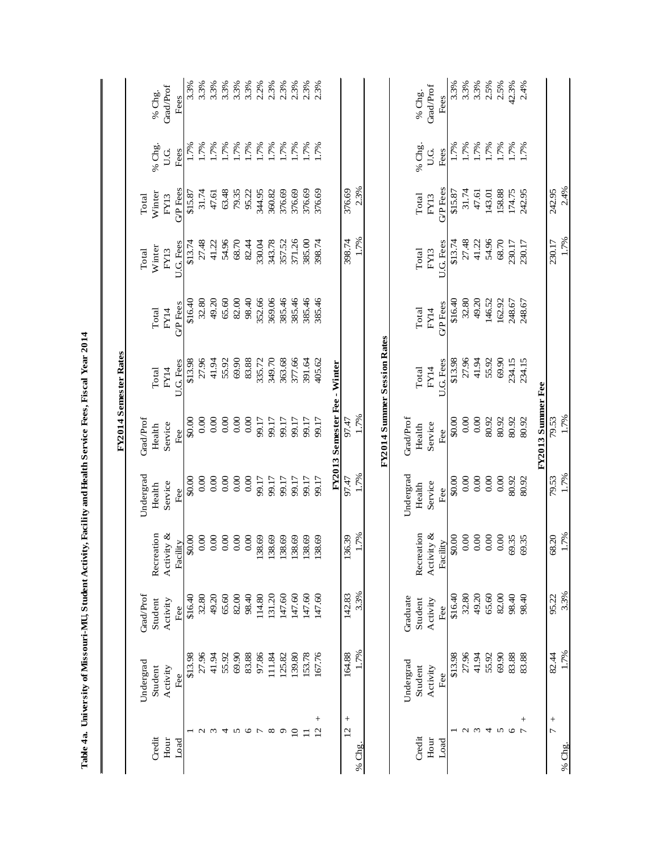|                  |         | 2.4%           | 1.7%      |                |                             | 1.7%                         | 1.7%      | 1.7%       | 3.3%             | 1.7%      | % Chg.                   |
|------------------|---------|----------------|-----------|----------------|-----------------------------|------------------------------|-----------|------------|------------------|-----------|--------------------------|
|                  |         | 242.95         | 230.17    |                |                             | 79.53                        | 79.53     | 68.20      | 95.22            | 82.44     | $\overline{C}$           |
|                  |         |                |           |                |                             | FY2013 Summer Fee            |           |            |                  |           |                          |
| 2.4%             | $0.7\%$ | 242.95         | 230.17    | 248.67         | 234.15                      | 80.92                        | 80.92     | 69.35      | 98.40            | 83.88     | $^{+}$<br>$\overline{ }$ |
| 42.3%            | 1.7%    | 174.75         | 230.17    | 248.67         | 234.15                      | 80.92                        | 80.92     | 69.35      | 98.40            | 83.88     | $\circ$                  |
| 2.5%             | 1.7%    | 158.88         | 68.70     | 162.92         | 69.90                       | 80.92                        | 0.00      | 0.00       | 82.00            | 69.90     | 5                        |
| 2.5%             | 1.7%    | 143.01         | 54.96     | 146.52         | 55.92                       | 80.92                        | 0.00      | $0.00\,$   | 65.60            | 55.92     | 4                        |
| 3.3%             | 1.7%    | 47.61          | 41.22     | 49.20          | 41.94                       | 0.00                         | 0.00      | 0.00       | 49.20            | 41.94     | $\omega$                 |
| 3.3%             | 1.7%    | 31.74          | 27.48     | 32.80          | 27.96                       | 0.00                         | 0.00      | 0.00       | 32.80            | 27.96     | $\mathcal{L}$            |
| 3.3%             | 1.7%    | \$15.87        | \$13.74   | \$16.40        | \$13.98                     | $$0.00$                      | \$0.00    | \$0.00     | \$16.40          | \$13.98   |                          |
| Fees             | Fees    | <b>GP</b> Fees | U.G. Fees | <b>GP</b> Fees | U.G. Fees                   | Fee                          | Fee       | Facility   | Fee              | Fee       | Load                     |
| Grad/Prof        | U.G     | FY13           | FY13      | FY14           | FY14                        | Service                      | Service   | Activity & | Activity         | Activity  | Hour                     |
| % Chg.           | % Chg.  | Total          | Total     | Total          | Total                       | Health                       | Health    | Recreation | Student          | Student   | Credit                   |
|                  |         |                |           |                |                             | Grad/Prof                    | Undergrad |            | Graduate         | Undergrad |                          |
|                  |         |                |           |                | FY2014 Summer Session Rates |                              |           |            |                  |           |                          |
|                  |         | 2.3%           | 1.7%      |                |                             | 1.7%                         | 1.7%      | 1.7%       | 3.3%             | 1.7%      | % $Chg$                  |
|                  |         | 376.69         | 398.74    |                |                             | 97.47                        | 97.47     | 136.39     | 142.83           | 164.88    | $^{+}$<br>$\overline{c}$ |
|                  |         |                |           |                |                             | FY2013 Semester Fee - Winter |           |            |                  |           |                          |
|                  | 1.7%    | 376.69         | 398.74    | 385.46         | 405.62                      | 99.17                        | 99.17     | 138.69     | 147.60           | 167.76    | $^{+}$<br>$\overline{2}$ |
| $2.3%$<br>$2.3%$ | 1.7%    | 376.69         | 385.00    | 385.46         | 391.64                      | 99.17                        | 99.17     | 138.69     | 147.60           | 153.78    | $\equiv$                 |
| 2.3%             | 1.7%    | 376.69         | 371.26    | 385.46         | 377.66                      | 99.17                        | 99.17     | 138.69     | 147.60           | 139.80    | $\Omega$                 |
| 2.3%             | 1.7%    | 376.69         | 357.52    | 385.46         | 363.68                      | 99.17                        | 99.17     | 138.69     | 147.60           | 125.82    | $\sigma$                 |
| 2.3%             | 1.7%    | 360.82         | 343.78    | 369.06         | 349.70                      | 99.17                        | 99.17     | 138.69     | 131.20           | 111.84    | $^{\circ}$               |
| 2.2%             | 1.7%    | 344.95         | 330.04    | 352.66         | 335.72                      | 99.17                        | 99.17     | 138.69     | 114.80           | 97.86     | $\overline{r}$           |
| $3.3%$<br>$3.3%$ | 1.7%    | 95.22          | 82.44     | 98.40          | 83.88                       | 0.00                         | 0.00      | $0.00\,$   | 98.40            | 83.88     | 0                        |
|                  | 1.7%    | 79.35          | 68.70     | 82.00          | 69.90                       | 0.00                         | 0.00      | 0.00       | 82.00            | 69.90     | 5                        |
| 3.3%             | 1.7%    | 63.48          | 54.96     | 65.60          | 55.92                       | 0.00                         | 0.00      | 0.00       | 65.60            | 55.92     | 4                        |
| 3.3%             | 1.7%    | 47.61          | 41.22     | 49.20          | 41.94                       | 0.00                         | 0.00      | $0.00\,$   | 49.20            | 41.94     | $\omega$                 |
| 3.3%             | 1.7%    | 31.74          | 27.48     | 32.80          | 27.96                       | 0.00                         | 0.00      | 0.00       | 32.80            | 27.96     | $\mathbf{\Omega}$        |
| 3.3%             | 1.7%    | \$15.87        | \$13.74   | \$16.40        | \$13.98                     | \$0.00                       | \$0.00    | \$0.00     | \$16.40          | \$13.98   |                          |
| Fees             | Fees    | <b>GP</b> Fees | U.G. Fees | <b>GPFees</b>  | U.G. Fees                   | Fee                          | Fee       | Facility   | Fee              | Fee       | Load                     |
| Grad/Prof        | U.G     | FY13           | FY13      | FY14           | FY14                        | Service                      | Service   | Activity & | Activity         | Activity  | Hour                     |
| % Chg.           | % Chg.  | Winter         | Winter    | Total          | Total                       | Health                       | Health    | Recreation | Student          | Student   | Credit                   |
|                  |         | Total          | Total     |                |                             | Grad/Prof                    | Undergrad |            | <b>Grad/Prof</b> | Undergrad |                          |
|                  |         |                |           |                | FY2014 Semester Rates       |                              |           |            |                  |           |                          |
|                  |         |                |           |                |                             |                              |           |            |                  |           |                          |

Table 4a. University of Missouri-MU, Student Activity, Facility and Health Service Fees, Fiscal Year 2014  **Table 4a. University of Missouri-MU, Student Activity, Facility and Health Service Fees, Fiscal Year 2014**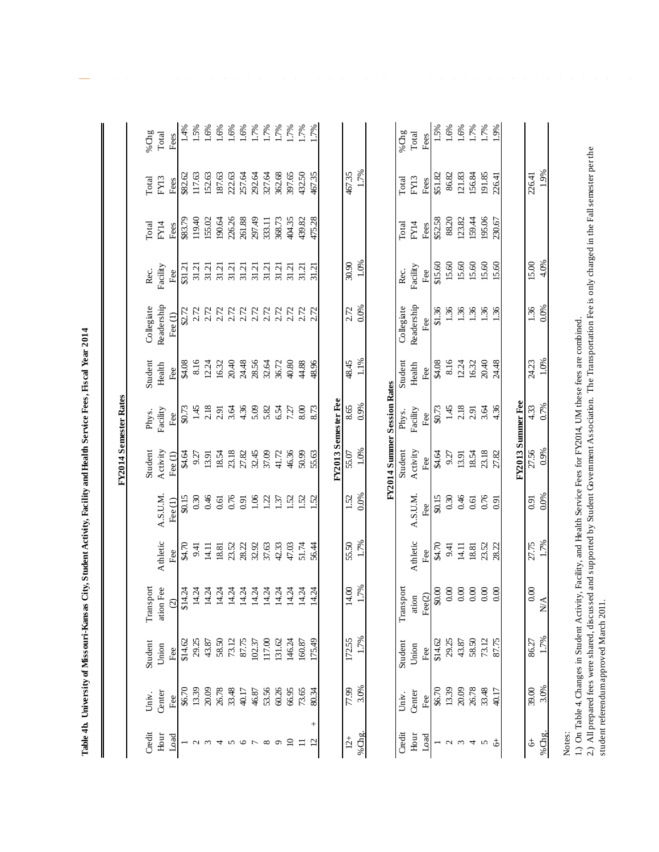| j |                                  |
|---|----------------------------------|
|   |                                  |
| j |                                  |
|   |                                  |
|   |                                  |
|   |                                  |
|   |                                  |
|   |                                  |
|   |                                  |
|   |                                  |
|   |                                  |
|   |                                  |
|   |                                  |
| j |                                  |
|   |                                  |
|   |                                  |
|   |                                  |
|   |                                  |
|   |                                  |
|   |                                  |
|   |                                  |
|   |                                  |
| l |                                  |
|   |                                  |
|   |                                  |
|   |                                  |
|   |                                  |
|   |                                  |
|   |                                  |
|   |                                  |
|   |                                  |
|   |                                  |
|   |                                  |
| j |                                  |
|   |                                  |
| ï |                                  |
|   |                                  |
|   |                                  |
|   | ׅ֧֧֚֚֚֚֚֚֚֚֚֚֚֚֚֚֚֡֡֡֜֓֡֡֡֡֡֡֬֝֬ |
|   |                                  |
|   |                                  |
|   |                                  |
|   |                                  |
|   |                                  |
|   |                                  |
|   |                                  |
|   |                                  |
|   |                                  |
|   |                                  |
|   |                                  |
|   |                                  |
|   |                                  |
|   |                                  |
|   |                                  |
|   |                                  |
|   |                                  |
|   |                                  |
|   |                                  |
|   |                                  |
|   |                                  |
|   |                                  |
|   |                                  |
|   |                                  |
|   |                                  |
|   |                                  |
|   |                                  |
|   |                                  |
|   |                                  |
|   |                                  |
|   |                                  |
| ì |                                  |
|   | i                                |
| j |                                  |
|   |                                  |
|   |                                  |
|   |                                  |
|   |                                  |
|   |                                  |
|   |                                  |
|   |                                  |
|   |                                  |
|   |                                  |
|   |                                  |
|   |                                  |
|   |                                  |
|   |                                  |
|   |                                  |
|   |                                  |
|   |                                  |
|   |                                  |
|   |                                  |
|   |                                  |
|   |                                  |
|   |                                  |
|   |                                  |
|   |                                  |
|   |                                  |
|   |                                  |
|   |                                  |
|   |                                  |
|   |                                  |
|   |                                  |

 $\overline{\phantom{a}}$ 

|                        |               |                |                                                                                                                        |                    |                     | FY2014 Semester Rates                                  |                   |               |                      |                |                 |                 |                  |
|------------------------|---------------|----------------|------------------------------------------------------------------------------------------------------------------------|--------------------|---------------------|--------------------------------------------------------|-------------------|---------------|----------------------|----------------|-----------------|-----------------|------------------|
|                        |               |                |                                                                                                                        |                    |                     |                                                        |                   |               |                      |                |                 |                 |                  |
| Credit                 | Univ.         | Student        | Transport                                                                                                              |                    |                     | Student                                                | Phys.             | Student       | Collegiate           | Rec.           | Total           | Total           | % $Chg$          |
| Hour                   | Center        | Union          | ation Fee                                                                                                              | Athletic           | A.S.U.M.            | Activity                                               | Facility          | Health        | Readership           | Facility       | FY14            | FY13            | Total            |
| Load                   | \$6.70<br>Fee | \$14.62<br>Fee | $\odot$                                                                                                                | \$4.70<br>Fee      | \$0.15<br>Fee $(1)$ | 84.64<br>Fee $(1)$                                     | \$0.73<br>Fee     | \$4.08<br>Fee | \$2.72<br>Fee $(1)$  | \$31.21<br>Fee | \$83.79<br>Fees | \$82.62<br>Fees | 1.4%<br>Fees     |
| $\mathbf{C}$           | 13.39         | 29.25          | \$14.24<br>14.24                                                                                                       | 9.41               | 0.30                | 9.27                                                   |                   | 8.16          | 2.72                 | 31.21          | 119.40          | 117.63          | 1.5%             |
| $\epsilon$             | 20.09         | 43.87          | 14.24                                                                                                                  | 14.11              | 0.46                | 13.91                                                  | $1.45$<br>2.18    | 12.24         | 2.72                 | 31.21          | 155.02          | 152.63          | .6%              |
| 4                      | 26.78         | 58.50          |                                                                                                                        | 18.81              | 0.61                | 18.54                                                  | 2.91              | 16.32         | 2.72                 | 31.21          | 190.64          | 187.63          | .6%              |
| 5                      | 33.48         | 73.12          |                                                                                                                        | 23.52              | 0.76                |                                                        | 3.64              | $20.40$       | 2.72                 | 31.21          | 226.26          | 222.63          | .6%              |
| $\circ$                | 40.17         | 87.75          |                                                                                                                        | 28.22              | 0.91                | $\begin{array}{l} 23.18 \\ \textbf{27.82} \end{array}$ | 4.36              | 24.48         | 2.72<br>2.72<br>2.72 | 31.21          | 261.88          | 257.64          |                  |
| $\overline{ }$         | 46.87         | 102.37         |                                                                                                                        | 32.92              | 1.06                |                                                        | 5.09              | 28.56         |                      | 31.21          | 297.49          | 292.64          | $1.7%$<br>$1.7%$ |
| ${}^{\circ}$           | 53.56         | 117.00         |                                                                                                                        | 37.63              | 1.22                | 32.45<br>37.09                                         | 5.82              | 32.64         |                      | 31.21          | 333.11          | 327.64          |                  |
| $\sigma$               | 60.26         | 131.62         | 14.24                                                                                                                  | 42.33              | 1.37                | 41.72                                                  | 6.54              | 36.72         | 2.72                 | 31.21          | 368.73          | 362.68          | 1.7%             |
| $\Omega$               | 66.95         | 146.24         | 14.24                                                                                                                  | 47.03              | 1.52                | 46.36                                                  | 7.27              | 40.80         | 2.72                 | 31.21          | 404.35          | 397.65          | 17%              |
| $\equiv$               | 73.65         | 160.87         | 14.24                                                                                                                  | 51.74              | 1.52                | 50.99                                                  | 8.00              | 44.88         | 2.72                 | 31.21          | 439.82          | 432.50          | 1.7%             |
| $^+$<br>$\overline{c}$ | 80.34         | 175.49         | 14.24                                                                                                                  | 56.44              | $\ddot{5}$          | 55.63                                                  | 8.73              | 48.96         | 2.72                 | 31.21          | 475.28          | 467.35          | $.7\%$           |
|                        |               |                |                                                                                                                        |                    |                     | FY2013 Semester Fee                                    |                   |               |                      |                |                 |                 |                  |
| $12 +$                 | 77.99         | 172.55         | 14.00                                                                                                                  | 55.50              | 1.52                | 55.07                                                  | 8.65              | 48.45         | 2.72                 | 30.90          |                 | 467.35          |                  |
| %Chg.                  | 3.0%          | 1.7%           | .7%                                                                                                                    | 1.7%               | 0.0%                | 1.0%                                                   | 0.9%              | $1.1\%$       | 0.0%                 | 1.0%           |                 | 1.7%            |                  |
|                        |               |                |                                                                                                                        |                    |                     |                                                        |                   |               |                      |                |                 |                 |                  |
|                        |               |                |                                                                                                                        |                    |                     | FY2014 Summer Session Rates                            |                   |               |                      |                |                 |                 |                  |
| Credit                 | Univ.         | Student        | Transport                                                                                                              |                    |                     | Student                                                | Phys.             | Student       | Collegiate           | Rec.           | Total           | Total           | %Chg             |
| Hour                   | Center        | Union          | ation<br>$\frac{\text{Fe}(2)}{\text{$0.00}}$                                                                           | Athletic           | A.S.U.M.            | Activity                                               | Facility          | Health        | Readership           | Facility       | FY14            | FY13            | Total            |
| Load                   | Fee           | Fee            |                                                                                                                        | Fee                | Fee                 | Fee                                                    | Fee               | Fee           | Fee                  | Fee            | Fees            | Fees            | Fees             |
|                        | \$6.70        | \$14.62        |                                                                                                                        | \$4.70             | \$0.15              | \$4.64                                                 | \$0.73            | \$4.08        | \$1.36               | \$15.60        | \$52.58         | \$51.82         | 1.5%             |
| $\mathbf{C}$           | 13.39         | 29.25          | $0.00\,$                                                                                                               | 9.41               | 0.30                | 9.27                                                   | 1.45              | 8.16          | 1.36                 | 15.60          | 88.20           | 86.82           | 1.6%             |
| $\omega$ 4             | 20.09         | 43.87          | $0.00\,$                                                                                                               | 14.11              | 0.46                | 13.91                                                  | 2.18              | 12.24         | 1.36                 | 15.60          | 123.82          | 121.83          | 1.6%             |
|                        | 26.78         | 58.50          | $0.00\,$                                                                                                               | 18.81              | $0.61$<br>$0.76$    | 18.54                                                  | $2.91$<br>$3.64$  | 16.32         | 36                   | 15.60          | 159.44          | 156.84          | 1.7%             |
| $\sim$                 | 33.48         | 73.12          | $0.00\,$                                                                                                               | $23.52$<br>$28.22$ |                     | 23.18                                                  |                   | 20.40         | 1.36                 | 15.60<br>15.60 | 195.06          | 191.85          | 1.7%             |
| ょ                      | 40.17         | 87.75          | 0.00                                                                                                                   |                    | $\overline{0.91}$   | 27.82                                                  | 4.36              | 24.48         | $\frac{36}{5}$       |                | 230.67          | 226.41          | .9%              |
|                        |               |                |                                                                                                                        |                    |                     |                                                        | FY2013 Summer Fee |               |                      |                |                 |                 |                  |
| \$                     | 39.00         | 86.27          | 0.00                                                                                                                   | 27.75              | 0.91                | 27.56                                                  | 4.33              | 24.23         | 1.36                 | 15.00          |                 | 226.41          |                  |
|                        |               |                |                                                                                                                        |                    |                     |                                                        |                   |               |                      |                |                 |                 |                  |
| %Chg.                  | 3.0%          | 1.7%           | $\sum_{i=1}^{n}$                                                                                                       | 1.7%               | 0.0%                | 0.9%                                                   | 0.7%              | 1.0%          | 0.0%                 | 4.0%           |                 | 1.9%            |                  |
| Notes:                 |               |                |                                                                                                                        |                    |                     |                                                        |                   |               |                      |                |                 |                 |                  |
| $\frac{1}{2}$          |               |                | 1.) On Table 4. Changes in Student Activity, Facility, and Health Service Fees for FY2014, UM these fees are combined. |                    |                     |                                                        |                   |               |                      |                |                 |                 |                  |

2.) All prepared fees were shared, discussed and supported by Student Government Association. The Transportation Fee is only charged in the Fall semester per the

2.) All prepared fees were shared, discussed and supported by Student Government Association. The Transportation Fee is only charged in the Fall semester per the<br>student referendum approved March 2011. student referendum approved March 2011.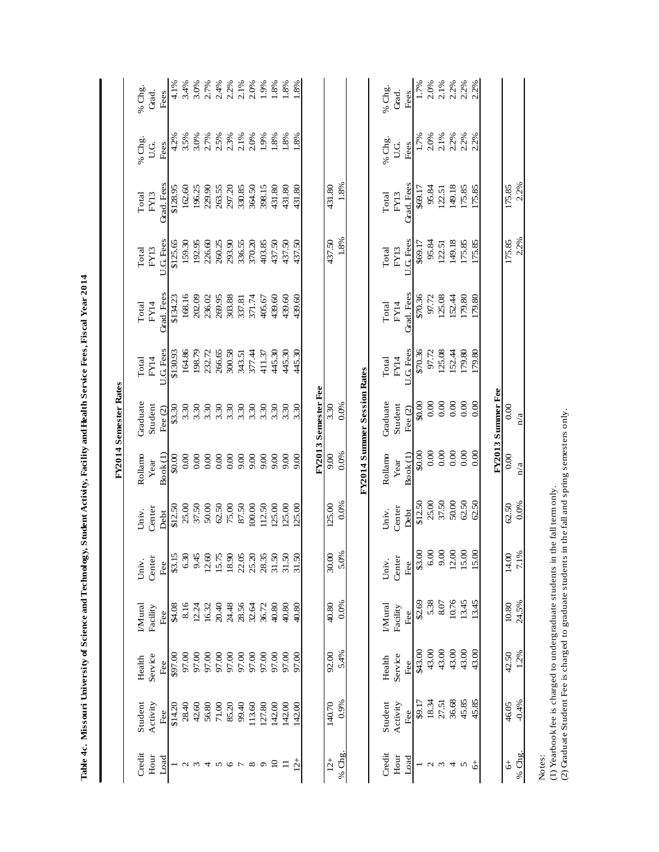| $2.5%$<br>$2.3%$<br>2.2%<br>% Chg.<br>$\%$ Chg.<br>U.G<br>Fees<br>Fees<br>U.G.<br>Grad. Fees<br>1.8%<br>Grad. Fees<br>2.2%<br>196.25<br>229.90<br>263.55<br>297.20<br>330.85<br>364.50<br>398.15<br>431.80<br>431.80<br>431.80<br>149.18<br>175.85<br>162.60<br>431.80<br>95.84<br>175.85<br>175.85<br>\$69.17<br>\$128.95<br>122.51<br>FY13<br>Total<br>FY13<br>Total<br>1.8%<br>2.2%<br>437.50<br>293.90<br>403.85<br>437.50<br>437.50<br>437.50<br>175.85<br>U.G. Fees<br>159.30<br>192.95<br>226.60<br>260.25<br>336.55<br>370.20<br>U.G. Fees<br>149.18<br>175.85<br>175.85<br>\$125.65<br>95.84<br>\$69.17<br>122.51<br>Total<br>FY13<br>Total<br>FY13<br>Grad. Fees<br>Grad. Fees<br>168.16<br>439.60<br>439.60<br>179.80<br>202.09<br>269.95<br>303.88<br>439.60<br>\$70.36<br>125.08<br>152.44<br>236.02<br>371.74<br>97.72<br>179.80<br>337.81<br>405.67<br>\$134.23<br>FY14<br>Total<br>FY14<br>Total<br>445.30<br>179.80<br>445.30<br>445.30<br>125.08<br>152.44<br>U.G. Fees<br>164.86<br>198.79<br>232.72<br>266.65<br>300.58<br>U.G. Fees<br>\$70.36<br>179.80<br>97.72<br>\$130.93<br>377.44<br>411.37<br>343.51<br>FY14<br>Total<br>FY14<br>Total<br>FY2014 Summer Session Rates<br>FY2013 Semester Fee<br>FY2013 Summer Fee<br>0.00<br>0.00<br>0.00<br>0.00<br>Graduate<br>Graduate<br>0.00<br>\$0.00<br>0.0%<br>Student<br>Student<br>3.30<br>3.30<br>3.30<br>3.30<br>3.30<br>3.30<br>$3.30$<br>$3.30$<br>3.30<br>3.30<br>3.30<br>0.00<br>3.30<br>\$3.30<br>Fee $(2)$<br>Fee $(2)$<br>n/a<br>0.00<br>0.00<br>0.00<br>0.00<br>0.00<br>0.0%<br>\$0.00<br>Book(1)<br>Book <sub>(1)</sub><br>9.00<br>Rollamo<br>0.00<br>Rollamo<br>0.00<br>0.66<br>0.00<br>0.00<br>0.00<br>9.00<br>9.00<br>9.00<br>9.00<br>\$0.00<br>0.00<br>006<br>Year<br>Year<br>$\frac{a}{a}$<br>37.50<br>50.00<br>62.50<br>25.00<br>62.50<br>0.0%<br>0.0%<br>\$12.50<br>37.50<br>125.00<br>62.50<br>25.00<br>50.00<br>62.50<br>75.00<br>87.50<br>112.50<br>125.00<br>125.00<br>125.00<br>100.00<br>\$12.50<br>Center<br>Center<br>Univ.<br>Univ.<br>Debt<br>Debt<br>15.00<br>9.00<br>12.00<br>$\mathcal{S}_{0}$<br>\$3.00<br>$6.00$<br>7.1%<br>5.0%<br>30.00<br>14.00<br>$$3.15$<br>6.30<br>9.45<br>12.60<br>18.90<br>31.50<br>31.50<br>15.75<br>22.05<br>25.20<br>28.35<br>31.50<br>Center<br>Center<br>Univ.<br>Fee<br>Univ.<br>Fee<br>$\overline{15}$<br>10.76<br>\$2.69<br>5.38<br>13.45<br>13.45<br>8.07<br>0.0%<br>24.5%<br>28.56<br>40.80<br>40.80<br>10.80<br>IMural<br>8.16<br>20.40<br>24.48<br>36.72<br>40.80<br>40.80<br>12.24<br>16.32<br>I/Mural<br>32.64<br>\$4.08<br>Facility<br>Facility<br>Fee<br>Fee<br>43.00<br>43.00<br>43.00<br>43.00<br>\$43.00<br>43.00<br>5.4%<br>1.2%<br>92.00<br>42.50<br>97.00<br>97.00<br>97.00<br>97.00<br>97.00<br>97.00<br>97.00<br>97.00<br>97.00<br>97.00<br>97.00<br>Service<br>\$97.00<br>Service<br>Health<br>Health<br>$\rm{Fe}$<br>Fee<br>36.68<br>45.85<br>\$9.17<br>18.34<br>45.85<br>0.9%<br>27.51<br>$-0.4%$<br>Student<br>42.60<br>140.70<br>Activity<br>Activity<br>56.80<br>71.00<br>85.20<br>99.40<br>127.80<br>142.00<br>142.00<br>Student<br>46.05<br>28.40<br>113.60<br>142.00<br>\$14.20<br>Fee<br>Fee $\epsilon$<br>% Chg<br>Credit<br>% $\sigma$<br>Credit<br>Hour<br>Hour<br>Load<br>Load<br>$\frac{1}{2}$<br>$\overline{a}$<br>$\ddot{\circ}$<br>$\vec{c}$<br>$\equiv$<br>$\sigma$<br>$\downarrow$<br>$\sigma$ $\sim$<br>$\infty$<br>$\omega$ $\omega$<br>$\overline{4}$<br>$\omega$ $\omega$<br>4<br>5<br>S |  |  |  | FY2014 Semester Rates |  |  |      |               |
|-------------------------------------------------------------------------------------------------------------------------------------------------------------------------------------------------------------------------------------------------------------------------------------------------------------------------------------------------------------------------------------------------------------------------------------------------------------------------------------------------------------------------------------------------------------------------------------------------------------------------------------------------------------------------------------------------------------------------------------------------------------------------------------------------------------------------------------------------------------------------------------------------------------------------------------------------------------------------------------------------------------------------------------------------------------------------------------------------------------------------------------------------------------------------------------------------------------------------------------------------------------------------------------------------------------------------------------------------------------------------------------------------------------------------------------------------------------------------------------------------------------------------------------------------------------------------------------------------------------------------------------------------------------------------------------------------------------------------------------------------------------------------------------------------------------------------------------------------------------------------------------------------------------------------------------------------------------------------------------------------------------------------------------------------------------------------------------------------------------------------------------------------------------------------------------------------------------------------------------------------------------------------------------------------------------------------------------------------------------------------------------------------------------------------------------------------------------------------------------------------------------------------------------------------------------------------------------------------------------------------------------------------------------------------------------------------------------------------------------------------------------------------------------------------------------------------------------------------------------------------------------------------------------------------------------------------------------------------------------------------------------------------------------------------------------------------------------------------------------------------------------------------------------------------------------------------------------------------------------------------------------------------------------------------------------------------------------------------------------------------------------------------------------------------------------------------------------------------|--|--|--|-----------------------|--|--|------|---------------|
|                                                                                                                                                                                                                                                                                                                                                                                                                                                                                                                                                                                                                                                                                                                                                                                                                                                                                                                                                                                                                                                                                                                                                                                                                                                                                                                                                                                                                                                                                                                                                                                                                                                                                                                                                                                                                                                                                                                                                                                                                                                                                                                                                                                                                                                                                                                                                                                                                                                                                                                                                                                                                                                                                                                                                                                                                                                                                                                                                                                                                                                                                                                                                                                                                                                                                                                                                                                                                                                                         |  |  |  |                       |  |  |      | % Chg.        |
|                                                                                                                                                                                                                                                                                                                                                                                                                                                                                                                                                                                                                                                                                                                                                                                                                                                                                                                                                                                                                                                                                                                                                                                                                                                                                                                                                                                                                                                                                                                                                                                                                                                                                                                                                                                                                                                                                                                                                                                                                                                                                                                                                                                                                                                                                                                                                                                                                                                                                                                                                                                                                                                                                                                                                                                                                                                                                                                                                                                                                                                                                                                                                                                                                                                                                                                                                                                                                                                                         |  |  |  |                       |  |  |      | Grad.<br>Fees |
|                                                                                                                                                                                                                                                                                                                                                                                                                                                                                                                                                                                                                                                                                                                                                                                                                                                                                                                                                                                                                                                                                                                                                                                                                                                                                                                                                                                                                                                                                                                                                                                                                                                                                                                                                                                                                                                                                                                                                                                                                                                                                                                                                                                                                                                                                                                                                                                                                                                                                                                                                                                                                                                                                                                                                                                                                                                                                                                                                                                                                                                                                                                                                                                                                                                                                                                                                                                                                                                                         |  |  |  |                       |  |  | 4.2% | 4.1%          |
|                                                                                                                                                                                                                                                                                                                                                                                                                                                                                                                                                                                                                                                                                                                                                                                                                                                                                                                                                                                                                                                                                                                                                                                                                                                                                                                                                                                                                                                                                                                                                                                                                                                                                                                                                                                                                                                                                                                                                                                                                                                                                                                                                                                                                                                                                                                                                                                                                                                                                                                                                                                                                                                                                                                                                                                                                                                                                                                                                                                                                                                                                                                                                                                                                                                                                                                                                                                                                                                                         |  |  |  |                       |  |  | 3.5% | 3.4%          |
|                                                                                                                                                                                                                                                                                                                                                                                                                                                                                                                                                                                                                                                                                                                                                                                                                                                                                                                                                                                                                                                                                                                                                                                                                                                                                                                                                                                                                                                                                                                                                                                                                                                                                                                                                                                                                                                                                                                                                                                                                                                                                                                                                                                                                                                                                                                                                                                                                                                                                                                                                                                                                                                                                                                                                                                                                                                                                                                                                                                                                                                                                                                                                                                                                                                                                                                                                                                                                                                                         |  |  |  |                       |  |  | 3.0% | 3.0%          |
|                                                                                                                                                                                                                                                                                                                                                                                                                                                                                                                                                                                                                                                                                                                                                                                                                                                                                                                                                                                                                                                                                                                                                                                                                                                                                                                                                                                                                                                                                                                                                                                                                                                                                                                                                                                                                                                                                                                                                                                                                                                                                                                                                                                                                                                                                                                                                                                                                                                                                                                                                                                                                                                                                                                                                                                                                                                                                                                                                                                                                                                                                                                                                                                                                                                                                                                                                                                                                                                                         |  |  |  |                       |  |  | 2.7% | 2.7%          |
|                                                                                                                                                                                                                                                                                                                                                                                                                                                                                                                                                                                                                                                                                                                                                                                                                                                                                                                                                                                                                                                                                                                                                                                                                                                                                                                                                                                                                                                                                                                                                                                                                                                                                                                                                                                                                                                                                                                                                                                                                                                                                                                                                                                                                                                                                                                                                                                                                                                                                                                                                                                                                                                                                                                                                                                                                                                                                                                                                                                                                                                                                                                                                                                                                                                                                                                                                                                                                                                                         |  |  |  |                       |  |  |      | 2.4%<br>2.2%  |
|                                                                                                                                                                                                                                                                                                                                                                                                                                                                                                                                                                                                                                                                                                                                                                                                                                                                                                                                                                                                                                                                                                                                                                                                                                                                                                                                                                                                                                                                                                                                                                                                                                                                                                                                                                                                                                                                                                                                                                                                                                                                                                                                                                                                                                                                                                                                                                                                                                                                                                                                                                                                                                                                                                                                                                                                                                                                                                                                                                                                                                                                                                                                                                                                                                                                                                                                                                                                                                                                         |  |  |  |                       |  |  |      |               |
|                                                                                                                                                                                                                                                                                                                                                                                                                                                                                                                                                                                                                                                                                                                                                                                                                                                                                                                                                                                                                                                                                                                                                                                                                                                                                                                                                                                                                                                                                                                                                                                                                                                                                                                                                                                                                                                                                                                                                                                                                                                                                                                                                                                                                                                                                                                                                                                                                                                                                                                                                                                                                                                                                                                                                                                                                                                                                                                                                                                                                                                                                                                                                                                                                                                                                                                                                                                                                                                                         |  |  |  |                       |  |  | 2.1% | 2.1%          |
|                                                                                                                                                                                                                                                                                                                                                                                                                                                                                                                                                                                                                                                                                                                                                                                                                                                                                                                                                                                                                                                                                                                                                                                                                                                                                                                                                                                                                                                                                                                                                                                                                                                                                                                                                                                                                                                                                                                                                                                                                                                                                                                                                                                                                                                                                                                                                                                                                                                                                                                                                                                                                                                                                                                                                                                                                                                                                                                                                                                                                                                                                                                                                                                                                                                                                                                                                                                                                                                                         |  |  |  |                       |  |  | 2.0% | 2.0%          |
|                                                                                                                                                                                                                                                                                                                                                                                                                                                                                                                                                                                                                                                                                                                                                                                                                                                                                                                                                                                                                                                                                                                                                                                                                                                                                                                                                                                                                                                                                                                                                                                                                                                                                                                                                                                                                                                                                                                                                                                                                                                                                                                                                                                                                                                                                                                                                                                                                                                                                                                                                                                                                                                                                                                                                                                                                                                                                                                                                                                                                                                                                                                                                                                                                                                                                                                                                                                                                                                                         |  |  |  |                       |  |  | 1.9% | 1.9%          |
|                                                                                                                                                                                                                                                                                                                                                                                                                                                                                                                                                                                                                                                                                                                                                                                                                                                                                                                                                                                                                                                                                                                                                                                                                                                                                                                                                                                                                                                                                                                                                                                                                                                                                                                                                                                                                                                                                                                                                                                                                                                                                                                                                                                                                                                                                                                                                                                                                                                                                                                                                                                                                                                                                                                                                                                                                                                                                                                                                                                                                                                                                                                                                                                                                                                                                                                                                                                                                                                                         |  |  |  |                       |  |  | 1.8% | 1.8%          |
|                                                                                                                                                                                                                                                                                                                                                                                                                                                                                                                                                                                                                                                                                                                                                                                                                                                                                                                                                                                                                                                                                                                                                                                                                                                                                                                                                                                                                                                                                                                                                                                                                                                                                                                                                                                                                                                                                                                                                                                                                                                                                                                                                                                                                                                                                                                                                                                                                                                                                                                                                                                                                                                                                                                                                                                                                                                                                                                                                                                                                                                                                                                                                                                                                                                                                                                                                                                                                                                                         |  |  |  |                       |  |  | 1.8% | 1.8%          |
|                                                                                                                                                                                                                                                                                                                                                                                                                                                                                                                                                                                                                                                                                                                                                                                                                                                                                                                                                                                                                                                                                                                                                                                                                                                                                                                                                                                                                                                                                                                                                                                                                                                                                                                                                                                                                                                                                                                                                                                                                                                                                                                                                                                                                                                                                                                                                                                                                                                                                                                                                                                                                                                                                                                                                                                                                                                                                                                                                                                                                                                                                                                                                                                                                                                                                                                                                                                                                                                                         |  |  |  |                       |  |  | .8%  | .8%           |
|                                                                                                                                                                                                                                                                                                                                                                                                                                                                                                                                                                                                                                                                                                                                                                                                                                                                                                                                                                                                                                                                                                                                                                                                                                                                                                                                                                                                                                                                                                                                                                                                                                                                                                                                                                                                                                                                                                                                                                                                                                                                                                                                                                                                                                                                                                                                                                                                                                                                                                                                                                                                                                                                                                                                                                                                                                                                                                                                                                                                                                                                                                                                                                                                                                                                                                                                                                                                                                                                         |  |  |  |                       |  |  |      |               |
|                                                                                                                                                                                                                                                                                                                                                                                                                                                                                                                                                                                                                                                                                                                                                                                                                                                                                                                                                                                                                                                                                                                                                                                                                                                                                                                                                                                                                                                                                                                                                                                                                                                                                                                                                                                                                                                                                                                                                                                                                                                                                                                                                                                                                                                                                                                                                                                                                                                                                                                                                                                                                                                                                                                                                                                                                                                                                                                                                                                                                                                                                                                                                                                                                                                                                                                                                                                                                                                                         |  |  |  |                       |  |  |      |               |
|                                                                                                                                                                                                                                                                                                                                                                                                                                                                                                                                                                                                                                                                                                                                                                                                                                                                                                                                                                                                                                                                                                                                                                                                                                                                                                                                                                                                                                                                                                                                                                                                                                                                                                                                                                                                                                                                                                                                                                                                                                                                                                                                                                                                                                                                                                                                                                                                                                                                                                                                                                                                                                                                                                                                                                                                                                                                                                                                                                                                                                                                                                                                                                                                                                                                                                                                                                                                                                                                         |  |  |  |                       |  |  |      |               |
|                                                                                                                                                                                                                                                                                                                                                                                                                                                                                                                                                                                                                                                                                                                                                                                                                                                                                                                                                                                                                                                                                                                                                                                                                                                                                                                                                                                                                                                                                                                                                                                                                                                                                                                                                                                                                                                                                                                                                                                                                                                                                                                                                                                                                                                                                                                                                                                                                                                                                                                                                                                                                                                                                                                                                                                                                                                                                                                                                                                                                                                                                                                                                                                                                                                                                                                                                                                                                                                                         |  |  |  |                       |  |  |      |               |
|                                                                                                                                                                                                                                                                                                                                                                                                                                                                                                                                                                                                                                                                                                                                                                                                                                                                                                                                                                                                                                                                                                                                                                                                                                                                                                                                                                                                                                                                                                                                                                                                                                                                                                                                                                                                                                                                                                                                                                                                                                                                                                                                                                                                                                                                                                                                                                                                                                                                                                                                                                                                                                                                                                                                                                                                                                                                                                                                                                                                                                                                                                                                                                                                                                                                                                                                                                                                                                                                         |  |  |  |                       |  |  |      | % Chg.        |
|                                                                                                                                                                                                                                                                                                                                                                                                                                                                                                                                                                                                                                                                                                                                                                                                                                                                                                                                                                                                                                                                                                                                                                                                                                                                                                                                                                                                                                                                                                                                                                                                                                                                                                                                                                                                                                                                                                                                                                                                                                                                                                                                                                                                                                                                                                                                                                                                                                                                                                                                                                                                                                                                                                                                                                                                                                                                                                                                                                                                                                                                                                                                                                                                                                                                                                                                                                                                                                                                         |  |  |  |                       |  |  |      | Grad.         |
|                                                                                                                                                                                                                                                                                                                                                                                                                                                                                                                                                                                                                                                                                                                                                                                                                                                                                                                                                                                                                                                                                                                                                                                                                                                                                                                                                                                                                                                                                                                                                                                                                                                                                                                                                                                                                                                                                                                                                                                                                                                                                                                                                                                                                                                                                                                                                                                                                                                                                                                                                                                                                                                                                                                                                                                                                                                                                                                                                                                                                                                                                                                                                                                                                                                                                                                                                                                                                                                                         |  |  |  |                       |  |  |      | Fees          |
|                                                                                                                                                                                                                                                                                                                                                                                                                                                                                                                                                                                                                                                                                                                                                                                                                                                                                                                                                                                                                                                                                                                                                                                                                                                                                                                                                                                                                                                                                                                                                                                                                                                                                                                                                                                                                                                                                                                                                                                                                                                                                                                                                                                                                                                                                                                                                                                                                                                                                                                                                                                                                                                                                                                                                                                                                                                                                                                                                                                                                                                                                                                                                                                                                                                                                                                                                                                                                                                                         |  |  |  |                       |  |  | 1.7% | 1.7%          |
|                                                                                                                                                                                                                                                                                                                                                                                                                                                                                                                                                                                                                                                                                                                                                                                                                                                                                                                                                                                                                                                                                                                                                                                                                                                                                                                                                                                                                                                                                                                                                                                                                                                                                                                                                                                                                                                                                                                                                                                                                                                                                                                                                                                                                                                                                                                                                                                                                                                                                                                                                                                                                                                                                                                                                                                                                                                                                                                                                                                                                                                                                                                                                                                                                                                                                                                                                                                                                                                                         |  |  |  |                       |  |  | 2.0% | 2.0%          |
|                                                                                                                                                                                                                                                                                                                                                                                                                                                                                                                                                                                                                                                                                                                                                                                                                                                                                                                                                                                                                                                                                                                                                                                                                                                                                                                                                                                                                                                                                                                                                                                                                                                                                                                                                                                                                                                                                                                                                                                                                                                                                                                                                                                                                                                                                                                                                                                                                                                                                                                                                                                                                                                                                                                                                                                                                                                                                                                                                                                                                                                                                                                                                                                                                                                                                                                                                                                                                                                                         |  |  |  |                       |  |  | 2.1% | 2.1%          |
|                                                                                                                                                                                                                                                                                                                                                                                                                                                                                                                                                                                                                                                                                                                                                                                                                                                                                                                                                                                                                                                                                                                                                                                                                                                                                                                                                                                                                                                                                                                                                                                                                                                                                                                                                                                                                                                                                                                                                                                                                                                                                                                                                                                                                                                                                                                                                                                                                                                                                                                                                                                                                                                                                                                                                                                                                                                                                                                                                                                                                                                                                                                                                                                                                                                                                                                                                                                                                                                                         |  |  |  |                       |  |  | 2.2% | 2.2%          |
|                                                                                                                                                                                                                                                                                                                                                                                                                                                                                                                                                                                                                                                                                                                                                                                                                                                                                                                                                                                                                                                                                                                                                                                                                                                                                                                                                                                                                                                                                                                                                                                                                                                                                                                                                                                                                                                                                                                                                                                                                                                                                                                                                                                                                                                                                                                                                                                                                                                                                                                                                                                                                                                                                                                                                                                                                                                                                                                                                                                                                                                                                                                                                                                                                                                                                                                                                                                                                                                                         |  |  |  |                       |  |  |      | 2.2%          |
|                                                                                                                                                                                                                                                                                                                                                                                                                                                                                                                                                                                                                                                                                                                                                                                                                                                                                                                                                                                                                                                                                                                                                                                                                                                                                                                                                                                                                                                                                                                                                                                                                                                                                                                                                                                                                                                                                                                                                                                                                                                                                                                                                                                                                                                                                                                                                                                                                                                                                                                                                                                                                                                                                                                                                                                                                                                                                                                                                                                                                                                                                                                                                                                                                                                                                                                                                                                                                                                                         |  |  |  |                       |  |  | 2.2% | 2.2%          |
|                                                                                                                                                                                                                                                                                                                                                                                                                                                                                                                                                                                                                                                                                                                                                                                                                                                                                                                                                                                                                                                                                                                                                                                                                                                                                                                                                                                                                                                                                                                                                                                                                                                                                                                                                                                                                                                                                                                                                                                                                                                                                                                                                                                                                                                                                                                                                                                                                                                                                                                                                                                                                                                                                                                                                                                                                                                                                                                                                                                                                                                                                                                                                                                                                                                                                                                                                                                                                                                                         |  |  |  |                       |  |  |      |               |
|                                                                                                                                                                                                                                                                                                                                                                                                                                                                                                                                                                                                                                                                                                                                                                                                                                                                                                                                                                                                                                                                                                                                                                                                                                                                                                                                                                                                                                                                                                                                                                                                                                                                                                                                                                                                                                                                                                                                                                                                                                                                                                                                                                                                                                                                                                                                                                                                                                                                                                                                                                                                                                                                                                                                                                                                                                                                                                                                                                                                                                                                                                                                                                                                                                                                                                                                                                                                                                                                         |  |  |  |                       |  |  |      |               |
|                                                                                                                                                                                                                                                                                                                                                                                                                                                                                                                                                                                                                                                                                                                                                                                                                                                                                                                                                                                                                                                                                                                                                                                                                                                                                                                                                                                                                                                                                                                                                                                                                                                                                                                                                                                                                                                                                                                                                                                                                                                                                                                                                                                                                                                                                                                                                                                                                                                                                                                                                                                                                                                                                                                                                                                                                                                                                                                                                                                                                                                                                                                                                                                                                                                                                                                                                                                                                                                                         |  |  |  |                       |  |  |      |               |

(1) Yearbook fee is charged to undergraduate students in the fall term only.<br>(2) Graduate Student Fee is charged to graduate students in the fall and spring semesters only. (2) Graduate Student Fee is charged to graduate students in the fall and spring semesters only. (1) Yearbook fee is charged to undergraduate students in the fall term only.